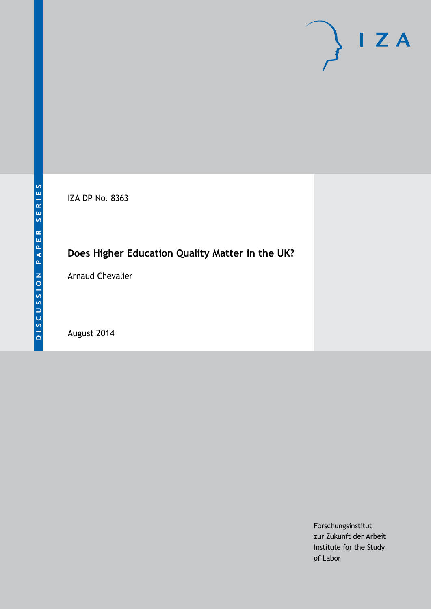

IZA DP No. 8363

# **Does Higher Education Quality Matter in the UK?**

Arnaud Chevalier

August 2014

Forschungsinstitut zur Zukunft der Arbeit Institute for the Study of Labor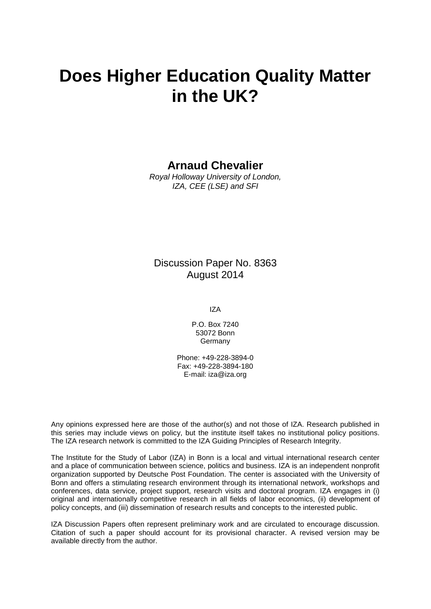# **Does Higher Education Quality Matter in the UK?**

## **Arnaud Chevalier**

*Royal Holloway University of London, IZA, CEE (LSE) and SFI*

## Discussion Paper No. 8363 August 2014

IZA

P.O. Box 7240 53072 Bonn **Germany** 

Phone: +49-228-3894-0 Fax: +49-228-3894-180 E-mail: [iza@iza.org](mailto:iza@iza.org)

Any opinions expressed here are those of the author(s) and not those of IZA. Research published in this series may include views on policy, but the institute itself takes no institutional policy positions. The IZA research network is committed to the IZA Guiding Principles of Research Integrity.

The Institute for the Study of Labor (IZA) in Bonn is a local and virtual international research center and a place of communication between science, politics and business. IZA is an independent nonprofit organization supported by Deutsche Post Foundation. The center is associated with the University of Bonn and offers a stimulating research environment through its international network, workshops and conferences, data service, project support, research visits and doctoral program. IZA engages in (i) original and internationally competitive research in all fields of labor economics, (ii) development of policy concepts, and (iii) dissemination of research results and concepts to the interested public.

<span id="page-1-0"></span>IZA Discussion Papers often represent preliminary work and are circulated to encourage discussion. Citation of such a paper should account for its provisional character. A revised version may be available directly from the author.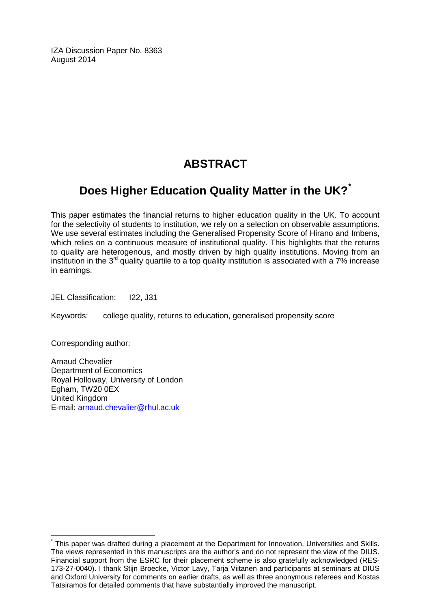IZA Discussion Paper No. 8363 August 2014

# **ABSTRACT**

# **Does Higher Education Quality Matter in the UK?[\\*](#page-1-0)**

This paper estimates the financial returns to higher education quality in the UK. To account for the selectivity of students to institution, we rely on a selection on observable assumptions. We use several estimates including the Generalised Propensity Score of Hirano and Imbens, which relies on a continuous measure of institutional quality. This highlights that the returns to quality are heterogenous, and mostly driven by high quality institutions. Moving from an institution in the  $3<sup>rd</sup>$  quality quartile to a top quality institution is associated with a 7% increase in earnings.

JEL Classification: I22, J31

Keywords: college quality, returns to education, generalised propensity score

Corresponding author:

Arnaud Chevalier Department of Economics Royal Holloway, University of London Egham, TW20 0EX United Kingdom E-mail: [arnaud.chevalier@rhul.ac.uk](mailto:arnaud.chevalier@rhul.ac.uk)

\* This paper was drafted during a placement at the Department for Innovation, Universities and Skills. The views represented in this manuscripts are the author's and do not represent the view of the DIUS. Financial support from the ESRC for their placement scheme is also gratefully acknowledged (RES-173-27-0040). I thank Stijn Broecke, Victor Lavy, Tarja Viitanen and participants at seminars at DIUS and Oxford University for comments on earlier drafts, as well as three anonymous referees and Kostas Tatsiramos for detailed comments that have substantially improved the manuscript.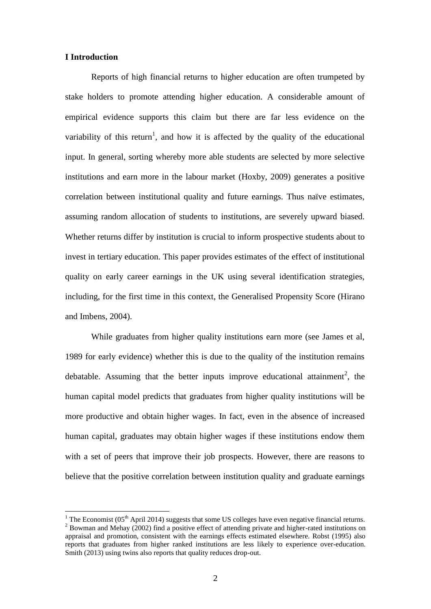#### **I Introduction**

<u>.</u>

Reports of high financial returns to higher education are often trumpeted by stake holders to promote attending higher education. A considerable amount of empirical evidence supports this claim but there are far less evidence on the variability of this return<sup>1</sup>, and how it is affected by the quality of the educational input. In general, sorting whereby more able students are selected by more selective institutions and earn more in the labour market (Hoxby, 2009) generates a positive correlation between institutional quality and future earnings. Thus naïve estimates, assuming random allocation of students to institutions, are severely upward biased. Whether returns differ by institution is crucial to inform prospective students about to invest in tertiary education. This paper provides estimates of the effect of institutional quality on early career earnings in the UK using several identification strategies, including, for the first time in this context, the Generalised Propensity Score (Hirano and Imbens, 2004).

While graduates from higher quality institutions earn more (see James et al, 1989 for early evidence) whether this is due to the quality of the institution remains debatable. Assuming that the better inputs improve educational attainment<sup>2</sup>, the human capital model predicts that graduates from higher quality institutions will be more productive and obtain higher wages. In fact, even in the absence of increased human capital, graduates may obtain higher wages if these institutions endow them with a set of peers that improve their job prospects. However, there are reasons to believe that the positive correlation between institution quality and graduate earnings

<sup>&</sup>lt;sup>1</sup> The Economist (05<sup>th</sup> April 2014) suggests that some US colleges have even negative financial returns. <sup>2</sup> Bowman and Mehay (2002) find a positive effect of attending private and higher-rated institutions on appraisal and promotion, consistent with the earnings effects estimated elsewhere. Robst (1995) also reports that graduates from higher ranked institutions are less likely to experience over-education. Smith (2013) using twins also reports that quality reduces drop-out.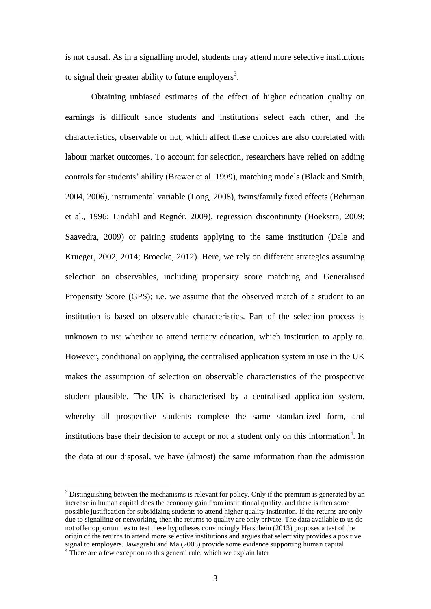is not causal. As in a signalling model, students may attend more selective institutions to signal their greater ability to future employers<sup>3</sup>.

Obtaining unbiased estimates of the effect of higher education quality on earnings is difficult since students and institutions select each other, and the characteristics, observable or not, which affect these choices are also correlated with labour market outcomes. To account for selection, researchers have relied on adding controls for students' ability (Brewer et al. 1999), matching models (Black and Smith, 2004, 2006), instrumental variable (Long, 2008), twins/family fixed effects (Behrman et al., 1996; Lindahl and Regnér, 2009), regression discontinuity (Hoekstra, 2009; Saavedra, 2009) or pairing students applying to the same institution (Dale and Krueger, 2002, 2014; Broecke, 2012). Here, we rely on different strategies assuming selection on observables, including propensity score matching and Generalised Propensity Score (GPS); i.e. we assume that the observed match of a student to an institution is based on observable characteristics. Part of the selection process is unknown to us: whether to attend tertiary education, which institution to apply to. However, conditional on applying, the centralised application system in use in the UK makes the assumption of selection on observable characteristics of the prospective student plausible. The UK is characterised by a centralised application system, whereby all prospective students complete the same standardized form, and institutions base their decision to accept or not a student only on this information<sup>4</sup>. In the data at our disposal, we have (almost) the same information than the admission

1

 $3$  Distinguishing between the mechanisms is relevant for policy. Only if the premium is generated by an increase in human capital does the economy gain from institutional quality, and there is then some possible justification for subsidizing students to attend higher quality institution. If the returns are only due to signalling or networking, then the returns to quality are only private. The data available to us do not offer opportunities to test these hypotheses convincingly Hershbein (2013) proposes a test of the origin of the returns to attend more selective institutions and argues that selectivity provides a positive signal to employers. Jawagushi and Ma (2008) provide some evidence supporting human capital

<sup>&</sup>lt;sup>4</sup> There are a few exception to this general rule, which we explain later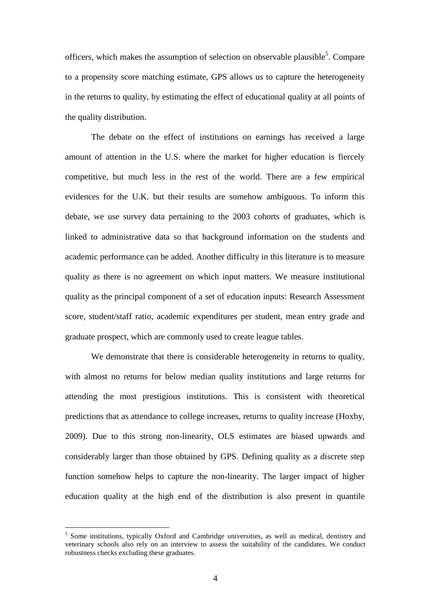officers, which makes the assumption of selection on observable plausible<sup>5</sup>. Compare to a propensity score matching estimate, GPS allows us to capture the heterogeneity in the returns to quality, by estimating the effect of educational quality at all points of the quality distribution.

The debate on the effect of institutions on earnings has received a large amount of attention in the U.S. where the market for higher education is fiercely competitive, but much less in the rest of the world. There are a few empirical evidences for the U.K. but their results are somehow ambiguous. To inform this debate, we use survey data pertaining to the 2003 cohorts of graduates, which is linked to administrative data so that background information on the students and academic performance can be added. Another difficulty in this literature is to measure quality as there is no agreement on which input matters. We measure institutional quality as the principal component of a set of education inputs: Research Assessment score, student/staff ratio, academic expenditures per student, mean entry grade and graduate prospect, which are commonly used to create league tables.

We demonstrate that there is considerable heterogeneity in returns to quality, with almost no returns for below median quality institutions and large returns for attending the most prestigious institutions. This is consistent with theoretical predictions that as attendance to college increases, returns to quality increase (Hoxby, 2009). Due to this strong non-linearity, OLS estimates are biased upwards and considerably larger than those obtained by GPS. Defining quality as a discrete step function somehow helps to capture the non-linearity. The larger impact of higher education quality at the high end of the distribution is also present in quantile

<u>.</u>

<sup>&</sup>lt;sup>5</sup> Some institutions, typically Oxford and Cambridge universities, as well as medical, dentistry and veterinary schools also rely on an interview to assess the suitability of the candidates. We conduct robustness checks excluding these graduates.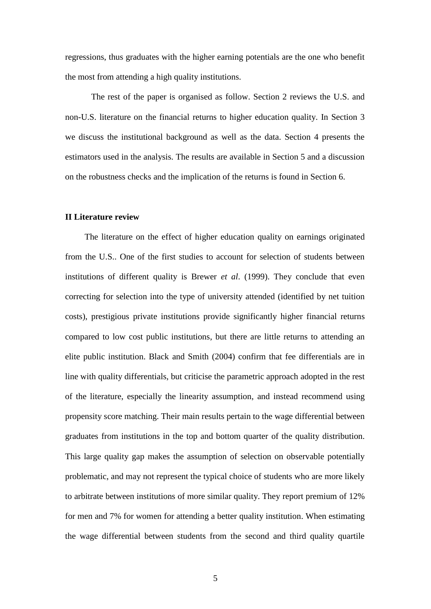regressions, thus graduates with the higher earning potentials are the one who benefit the most from attending a high quality institutions.

The rest of the paper is organised as follow. Section 2 reviews the U.S. and non-U.S. literature on the financial returns to higher education quality. In Section 3 we discuss the institutional background as well as the data. Section 4 presents the estimators used in the analysis. The results are available in Section 5 and a discussion on the robustness checks and the implication of the returns is found in Section 6.

#### **II Literature review**

The literature on the effect of higher education quality on earnings originated from the U.S.. One of the first studies to account for selection of students between institutions of different quality is Brewer *et al*. (1999). They conclude that even correcting for selection into the type of university attended (identified by net tuition costs), prestigious private institutions provide significantly higher financial returns compared to low cost public institutions, but there are little returns to attending an elite public institution. Black and Smith (2004) confirm that fee differentials are in line with quality differentials, but criticise the parametric approach adopted in the rest of the literature, especially the linearity assumption, and instead recommend using propensity score matching. Their main results pertain to the wage differential between graduates from institutions in the top and bottom quarter of the quality distribution. This large quality gap makes the assumption of selection on observable potentially problematic, and may not represent the typical choice of students who are more likely to arbitrate between institutions of more similar quality. They report premium of 12% for men and 7% for women for attending a better quality institution. When estimating the wage differential between students from the second and third quality quartile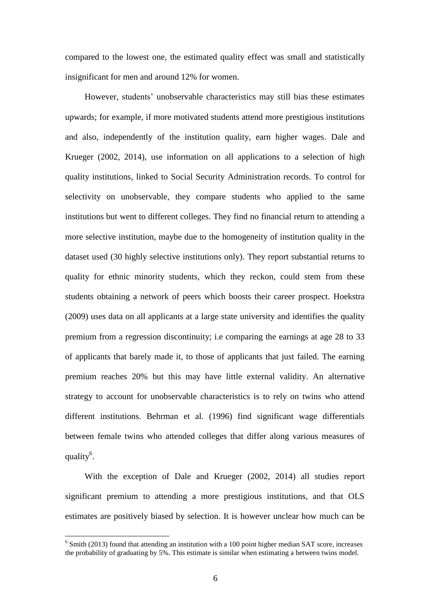compared to the lowest one, the estimated quality effect was small and statistically insignificant for men and around 12% for women.

However, students' unobservable characteristics may still bias these estimates upwards; for example, if more motivated students attend more prestigious institutions and also, independently of the institution quality, earn higher wages. Dale and Krueger (2002, 2014), use information on all applications to a selection of high quality institutions, linked to Social Security Administration records. To control for selectivity on unobservable, they compare students who applied to the same institutions but went to different colleges. They find no financial return to attending a more selective institution, maybe due to the homogeneity of institution quality in the dataset used (30 highly selective institutions only). They report substantial returns to quality for ethnic minority students, which they reckon, could stem from these students obtaining a network of peers which boosts their career prospect. Hoekstra (2009) uses data on all applicants at a large state university and identifies the quality premium from a regression discontinuity; i.e comparing the earnings at age 28 to 33 of applicants that barely made it, to those of applicants that just failed. The earning premium reaches 20% but this may have little external validity. An alternative strategy to account for unobservable characteristics is to rely on twins who attend different institutions. Behrman et al. (1996) find significant wage differentials between female twins who attended colleges that differ along various measures of quality<sup>6</sup>.

With the exception of Dale and Krueger (2002, 2014) all studies report significant premium to attending a more prestigious institutions, and that OLS estimates are positively biased by selection. It is however unclear how much can be

1

 $6$  Smith (2013) found that attending an institution with a 100 point higher median SAT score, increases the probability of graduating by 5%. This estimate is similar when estimating a between twins model.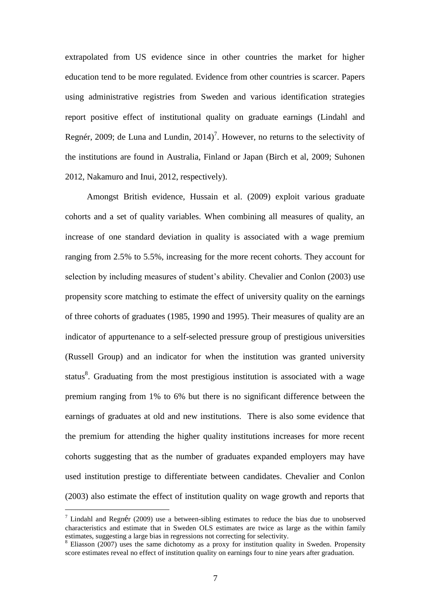extrapolated from US evidence since in other countries the market for higher education tend to be more regulated. Evidence from other countries is scarcer. Papers using administrative registries from Sweden and various identification strategies report positive effect of institutional quality on graduate earnings (Lindahl and Regnér, 2009; de Luna and Lundin,  $2014$ <sup>7</sup>. However, no returns to the selectivity of the institutions are found in Australia, Finland or Japan (Birch et al, 2009; Suhonen 2012, Nakamuro and Inui, 2012, respectively).

Amongst British evidence, Hussain et al. (2009) exploit various graduate cohorts and a set of quality variables. When combining all measures of quality, an increase of one standard deviation in quality is associated with a wage premium ranging from 2.5% to 5.5%, increasing for the more recent cohorts. They account for selection by including measures of student's ability. Chevalier and Conlon (2003) use propensity score matching to estimate the effect of university quality on the earnings of three cohorts of graduates (1985, 1990 and 1995). Their measures of quality are an indicator of appurtenance to a self-selected pressure group of prestigious universities (Russell Group) and an indicator for when the institution was granted university status<sup>8</sup>. Graduating from the most prestigious institution is associated with a wage premium ranging from 1% to 6% but there is no significant difference between the earnings of graduates at old and new institutions. There is also some evidence that the premium for attending the higher quality institutions increases for more recent cohorts suggesting that as the number of graduates expanded employers may have used institution prestige to differentiate between candidates. Chevalier and Conlon (2003) also estimate the effect of institution quality on wage growth and reports that

<u>.</u>

<sup>&</sup>lt;sup>7</sup> Lindahl and Regnér (2009) use a between-sibling estimates to reduce the bias due to unobserved characteristics and estimate that in Sweden OLS estimates are twice as large as the within family estimates, suggesting a large bias in regressions not correcting for selectivity.

<sup>&</sup>lt;sup>8</sup> Eliasson (2007) uses the same dichotomy as a proxy for institution quality in Sweden. Propensity score estimates reveal no effect of institution quality on earnings four to nine years after graduation.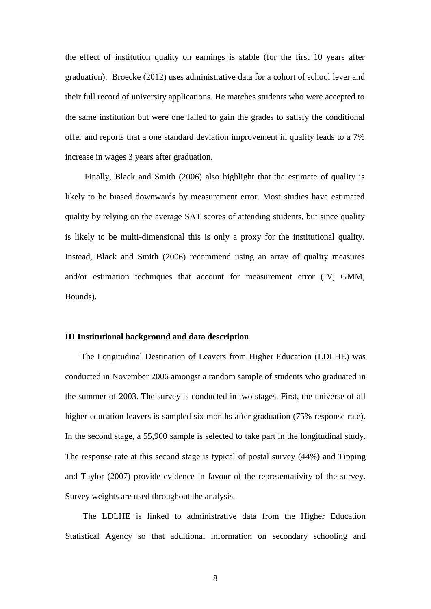the effect of institution quality on earnings is stable (for the first 10 years after graduation). Broecke (2012) uses administrative data for a cohort of school lever and their full record of university applications. He matches students who were accepted to the same institution but were one failed to gain the grades to satisfy the conditional offer and reports that a one standard deviation improvement in quality leads to a 7% increase in wages 3 years after graduation.

Finally, Black and Smith (2006) also highlight that the estimate of quality is likely to be biased downwards by measurement error. Most studies have estimated quality by relying on the average SAT scores of attending students, but since quality is likely to be multi-dimensional this is only a proxy for the institutional quality. Instead, Black and Smith (2006) recommend using an array of quality measures and/or estimation techniques that account for measurement error (IV, GMM, Bounds).

#### **III Institutional background and data description**

The Longitudinal Destination of Leavers from Higher Education (LDLHE) was conducted in November 2006 amongst a random sample of students who graduated in the summer of 2003. The survey is conducted in two stages. First, the universe of all higher education leavers is sampled six months after graduation (75% response rate). In the second stage, a 55,900 sample is selected to take part in the longitudinal study. The response rate at this second stage is typical of postal survey (44%) and Tipping and Taylor (2007) provide evidence in favour of the representativity of the survey. Survey weights are used throughout the analysis.

The LDLHE is linked to administrative data from the Higher Education Statistical Agency so that additional information on secondary schooling and

8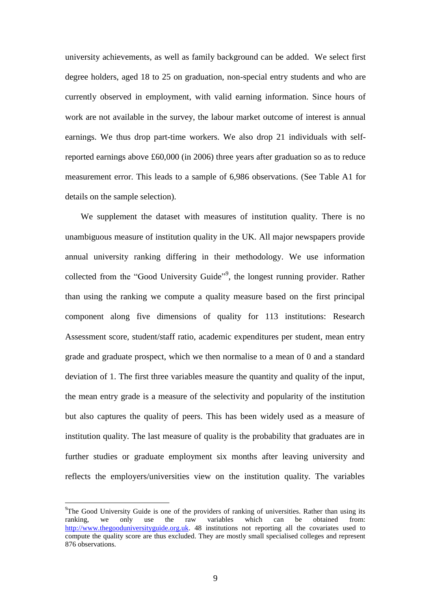university achievements, as well as family background can be added. We select first degree holders, aged 18 to 25 on graduation, non-special entry students and who are currently observed in employment, with valid earning information. Since hours of work are not available in the survey, the labour market outcome of interest is annual earnings. We thus drop part-time workers. We also drop 21 individuals with selfreported earnings above £60,000 (in 2006) three years after graduation so as to reduce measurement error. This leads to a sample of 6,986 observations. (See Table A1 for details on the sample selection).

We supplement the dataset with measures of institution quality. There is no unambiguous measure of institution quality in the UK. All major newspapers provide annual university ranking differing in their methodology. We use information collected from the "Good University Guide"<sup>9</sup>, the longest running provider. Rather than using the ranking we compute a quality measure based on the first principal component along five dimensions of quality for 113 institutions: Research Assessment score, student/staff ratio, academic expenditures per student, mean entry grade and graduate prospect, which we then normalise to a mean of 0 and a standard deviation of 1. The first three variables measure the quantity and quality of the input, the mean entry grade is a measure of the selectivity and popularity of the institution but also captures the quality of peers. This has been widely used as a measure of institution quality. The last measure of quality is the probability that graduates are in further studies or graduate employment six months after leaving university and reflects the employers/universities view on the institution quality. The variables

1

 $9$ The Good University Guide is one of the providers of ranking of universities. Rather than using its ranking, we only use the raw variables which can be obtained from: [http://www.thegooduniversityguide.org.uk.](http://www.thegooduniversityguide.org.uk/) 48 institutions not reporting all the covariates used to compute the quality score are thus excluded. They are mostly small specialised colleges and represent 876 observations.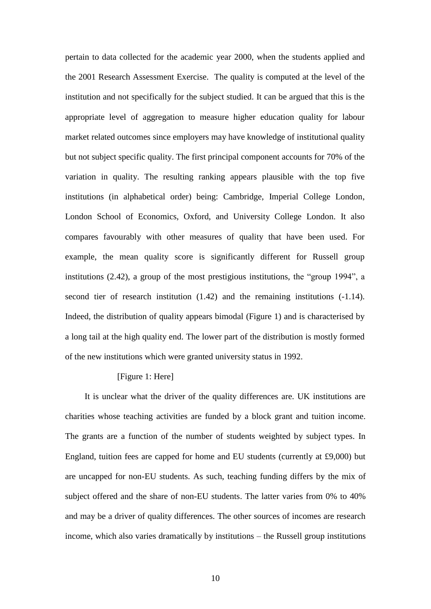pertain to data collected for the academic year 2000, when the students applied and the 2001 Research Assessment Exercise. The quality is computed at the level of the institution and not specifically for the subject studied. It can be argued that this is the appropriate level of aggregation to measure higher education quality for labour market related outcomes since employers may have knowledge of institutional quality but not subject specific quality. The first principal component accounts for 70% of the variation in quality. The resulting ranking appears plausible with the top five institutions (in alphabetical order) being: Cambridge, Imperial College London, London School of Economics, Oxford, and University College London. It also compares favourably with other measures of quality that have been used. For example, the mean quality score is significantly different for Russell group institutions (2.42), a group of the most prestigious institutions, the "group 1994", a second tier of research institution (1.42) and the remaining institutions (-1.14). Indeed, the distribution of quality appears bimodal (Figure 1) and is characterised by a long tail at the high quality end. The lower part of the distribution is mostly formed of the new institutions which were granted university status in 1992.

#### [Figure 1: Here]

It is unclear what the driver of the quality differences are. UK institutions are charities whose teaching activities are funded by a block grant and tuition income. The grants are a function of the number of students weighted by subject types. In England, tuition fees are capped for home and EU students (currently at £9,000) but are uncapped for non-EU students. As such, teaching funding differs by the mix of subject offered and the share of non-EU students. The latter varies from 0% to 40% and may be a driver of quality differences. The other sources of incomes are research income, which also varies dramatically by institutions – the Russell group institutions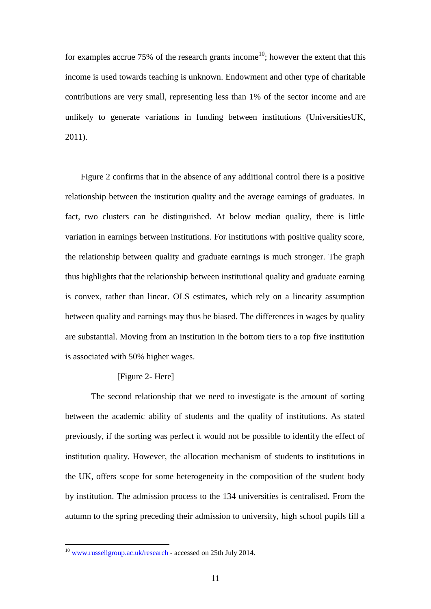for examples accrue 75% of the research grants income<sup>10</sup>; however the extent that this income is used towards teaching is unknown. Endowment and other type of charitable contributions are very small, representing less than 1% of the sector income and are unlikely to generate variations in funding between institutions (UniversitiesUK, 2011).

Figure 2 confirms that in the absence of any additional control there is a positive relationship between the institution quality and the average earnings of graduates. In fact, two clusters can be distinguished. At below median quality, there is little variation in earnings between institutions. For institutions with positive quality score, the relationship between quality and graduate earnings is much stronger. The graph thus highlights that the relationship between institutional quality and graduate earning is convex, rather than linear. OLS estimates, which rely on a linearity assumption between quality and earnings may thus be biased. The differences in wages by quality are substantial. Moving from an institution in the bottom tiers to a top five institution is associated with 50% higher wages.

#### [Figure 2- Here]

The second relationship that we need to investigate is the amount of sorting between the academic ability of students and the quality of institutions. As stated previously, if the sorting was perfect it would not be possible to identify the effect of institution quality. However, the allocation mechanism of students to institutions in the UK, offers scope for some heterogeneity in the composition of the student body by institution. The admission process to the 134 universities is centralised. From the autumn to the spring preceding their admission to university, high school pupils fill a

1

<sup>&</sup>lt;sup>10</sup> [www.russellgroup.ac.uk/research](http://www.russellgroup.ac.uk/research) - accessed on 25th July 2014.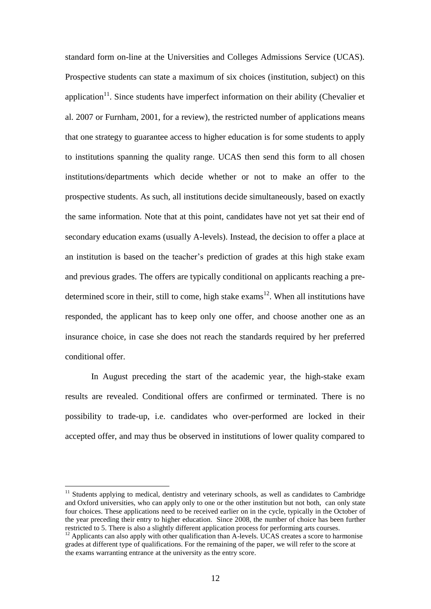standard form on-line at the Universities and Colleges Admissions Service (UCAS). Prospective students can state a maximum of six choices (institution, subject) on this application<sup>11</sup>. Since students have imperfect information on their ability (Chevalier et al. 2007 or Furnham, 2001, for a review), the restricted number of applications means that one strategy to guarantee access to higher education is for some students to apply to institutions spanning the quality range. UCAS then send this form to all chosen institutions/departments which decide whether or not to make an offer to the prospective students. As such, all institutions decide simultaneously, based on exactly the same information. Note that at this point, candidates have not yet sat their end of secondary education exams (usually A-levels). Instead, the decision to offer a place at an institution is based on the teacher's prediction of grades at this high stake exam and previous grades. The offers are typically conditional on applicants reaching a predetermined score in their, still to come, high stake  $\alpha$  exams<sup>12</sup>. When all institutions have responded, the applicant has to keep only one offer, and choose another one as an insurance choice, in case she does not reach the standards required by her preferred conditional offer.

In August preceding the start of the academic year, the high-stake exam results are revealed. Conditional offers are confirmed or terminated. There is no possibility to trade-up, i.e. candidates who over-performed are locked in their accepted offer, and may thus be observed in institutions of lower quality compared to

1

<sup>&</sup>lt;sup>11</sup> Students applying to medical, dentistry and veterinary schools, as well as candidates to Cambridge and Oxford universities, who can apply only to one or the other institution but not both, can only state four choices. These applications need to be received earlier on in the cycle, typically in the October of the year preceding their entry to higher education. Since 2008, the number of choice has been further restricted to 5. There is also a slightly different application process for performing arts courses.

<sup>&</sup>lt;sup>12</sup> Applicants can also apply with other qualification than A-levels. UCAS creates a score to harmonise grades at different type of qualifications. For the remaining of the paper, we will refer to the score at the exams warranting entrance at the university as the entry score.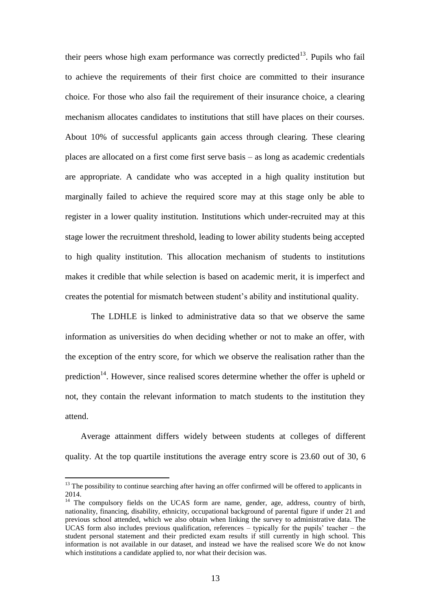their peers whose high exam performance was correctly predicted<sup>13</sup>. Pupils who fail to achieve the requirements of their first choice are committed to their insurance choice. For those who also fail the requirement of their insurance choice, a clearing mechanism allocates candidates to institutions that still have places on their courses. About 10% of successful applicants gain access through clearing. These clearing places are allocated on a first come first serve basis – as long as academic credentials are appropriate. A candidate who was accepted in a high quality institution but marginally failed to achieve the required score may at this stage only be able to register in a lower quality institution. Institutions which under-recruited may at this stage lower the recruitment threshold, leading to lower ability students being accepted to high quality institution. This allocation mechanism of students to institutions makes it credible that while selection is based on academic merit, it is imperfect and creates the potential for mismatch between student's ability and institutional quality.

The LDHLE is linked to administrative data so that we observe the same information as universities do when deciding whether or not to make an offer, with the exception of the entry score, for which we observe the realisation rather than the prediction<sup>14</sup>. However, since realised scores determine whether the offer is upheld or not, they contain the relevant information to match students to the institution they attend.

Average attainment differs widely between students at colleges of different quality. At the top quartile institutions the average entry score is 23.60 out of 30, 6

<u>.</u>

 $13$  The possibility to continue searching after having an offer confirmed will be offered to applicants in 2014.

<sup>&</sup>lt;sup>14</sup> The compulsory fields on the UCAS form are name, gender, age, address, country of birth, nationality, financing, disability, ethnicity, occupational background of parental figure if under 21 and previous school attended, which we also obtain when linking the survey to administrative data. The UCAS form also includes previous qualification, references – typically for the pupils' teacher – the student personal statement and their predicted exam results if still currently in high school. This information is not available in our dataset, and instead we have the realised score We do not know which institutions a candidate applied to, nor what their decision was.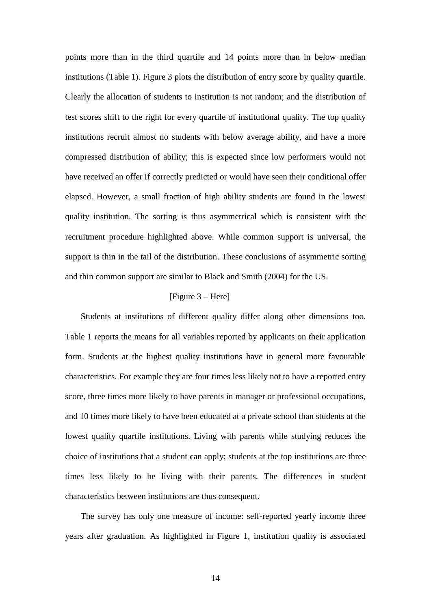points more than in the third quartile and 14 points more than in below median institutions (Table 1). Figure 3 plots the distribution of entry score by quality quartile. Clearly the allocation of students to institution is not random; and the distribution of test scores shift to the right for every quartile of institutional quality. The top quality institutions recruit almost no students with below average ability, and have a more compressed distribution of ability; this is expected since low performers would not have received an offer if correctly predicted or would have seen their conditional offer elapsed. However, a small fraction of high ability students are found in the lowest quality institution. The sorting is thus asymmetrical which is consistent with the recruitment procedure highlighted above. While common support is universal, the support is thin in the tail of the distribution. These conclusions of asymmetric sorting and thin common support are similar to Black and Smith (2004) for the US.

#### [Figure 3 – Here]

Students at institutions of different quality differ along other dimensions too. Table 1 reports the means for all variables reported by applicants on their application form. Students at the highest quality institutions have in general more favourable characteristics. For example they are four times less likely not to have a reported entry score, three times more likely to have parents in manager or professional occupations, and 10 times more likely to have been educated at a private school than students at the lowest quality quartile institutions. Living with parents while studying reduces the choice of institutions that a student can apply; students at the top institutions are three times less likely to be living with their parents. The differences in student characteristics between institutions are thus consequent.

The survey has only one measure of income: self-reported yearly income three years after graduation. As highlighted in Figure 1, institution quality is associated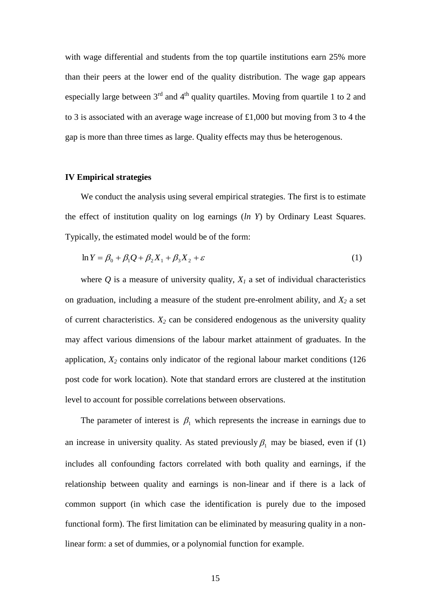with wage differential and students from the top quartile institutions earn 25% more than their peers at the lower end of the quality distribution. The wage gap appears especially large between  $3<sup>rd</sup>$  and  $4<sup>th</sup>$  quality quartiles. Moving from quartile 1 to 2 and to 3 is associated with an average wage increase of £1,000 but moving from 3 to 4 the gap is more than three times as large. Quality effects may thus be heterogenous.

#### **IV Empirical strategies**

We conduct the analysis using several empirical strategies. The first is to estimate the effect of institution quality on log earnings (*ln Y*) by Ordinary Least Squares. Typically, the estimated model would be of the form:

$$
\ln Y = \beta_0 + \beta_1 Q + \beta_2 X_1 + \beta_3 X_2 + \varepsilon \tag{1}
$$

where  $Q$  is a measure of university quality,  $X_I$  a set of individual characteristics on graduation, including a measure of the student pre-enrolment ability, and *X<sup>2</sup>* a set of current characteristics.  $X_2$  can be considered endogenous as the university quality may affect various dimensions of the labour market attainment of graduates. In the application, *X<sup>2</sup>* contains only indicator of the regional labour market conditions (126 post code for work location). Note that standard errors are clustered at the institution level to account for possible correlations between observations.

The parameter of interest is  $\beta_1$  which represents the increase in earnings due to an increase in university quality. As stated previously  $\beta_1$  may be biased, even if (1) includes all confounding factors correlated with both quality and earnings, if the relationship between quality and earnings is non-linear and if there is a lack of common support (in which case the identification is purely due to the imposed functional form). The first limitation can be eliminated by measuring quality in a nonlinear form: a set of dummies, or a polynomial function for example.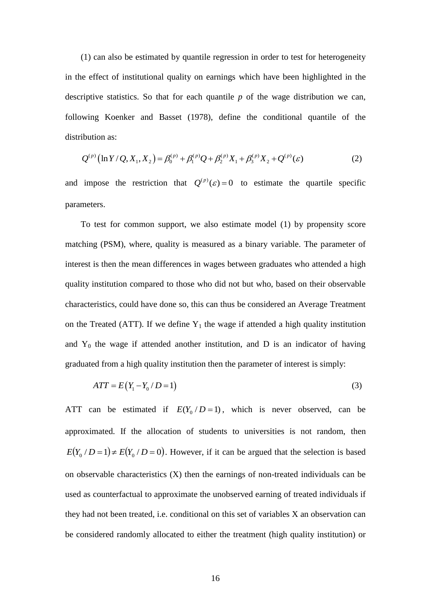(1) can also be estimated by quantile regression in order to test for heterogeneity in the effect of institutional quality on earnings which have been highlighted in the descriptive statistics. So that for each quantile *p* of the wage distribution we can, following Koenker and Basset (1978), define the conditional quantile of the distribution as:

ibution as:  
\n
$$
Q^{(p)}\left(\ln Y/Q, X_1, X_2\right) = \beta_0^{(p)} + \beta_1^{(p)}Q + \beta_2^{(p)}X_1 + \beta_3^{(p)}X_2 + Q^{(p)}(\varepsilon)
$$
\n(2)

and impose the restriction that  $Q^{(p)}(\varepsilon) = 0$  to estimate the quartile specific parameters.

To test for common support, we also estimate model (1) by propensity score matching (PSM), where, quality is measured as a binary variable. The parameter of interest is then the mean differences in wages between graduates who attended a high quality institution compared to those who did not but who, based on their observable characteristics, could have done so, this can thus be considered an Average Treatment on the Treated (ATT). If we define  $Y_1$  the wage if attended a high quality institution and  $Y_0$  the wage if attended another institution, and D is an indicator of having graduated from a high quality institution then the parameter of interest is simply:

$$
ATT = E(Y_1 - Y_0 / D = 1)
$$
 (3)

ATT can be estimated if  $E(Y_0/D=1)$ , which is never observed, can be approximated. If the allocation of students to universities is not random, then  $E(Y_0/D=1) \neq E(Y_0/D=0)$ . However, if it can be argued that the selection is based on observable characteristics (X) then the earnings of non-treated individuals can be used as counterfactual to approximate the unobserved earning of treated individuals if they had not been treated, i.e. conditional on this set of variables X an observation can be considered randomly allocated to either the treatment (high quality institution) or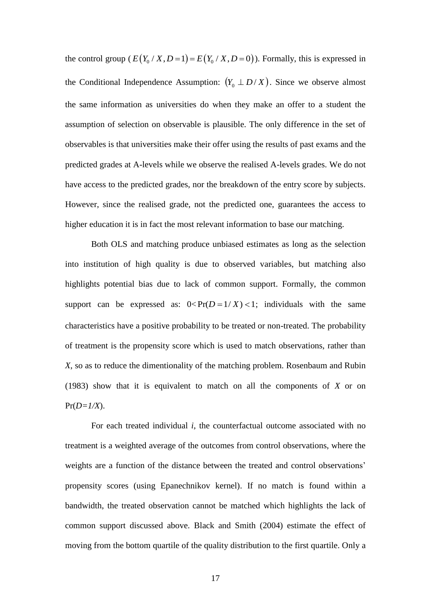the control group ( $E(Y_0/X, D=1) = E(Y_0/X, D=0)$ ). Formally, this is expressed in the Conditional Independence Assumption:  $(Y_0 \perp D / X)$ . Since we observe almost the same information as universities do when they make an offer to a student the assumption of selection on observable is plausible. The only difference in the set of observables is that universities make their offer using the results of past exams and the predicted grades at A-levels while we observe the realised A-levels grades. We do not have access to the predicted grades, nor the breakdown of the entry score by subjects. However, since the realised grade, not the predicted one, guarantees the access to higher education it is in fact the most relevant information to base our matching.

Both OLS and matching produce unbiased estimates as long as the selection into institution of high quality is due to observed variables, but matching also highlights potential bias due to lack of common support. Formally, the common support can be expressed as:  $0 < Pr(D=1/X) < 1$ ; individuals with the same characteristics have a positive probability to be treated or non-treated. The probability of treatment is the propensity score which is used to match observations, rather than *X*, so as to reduce the dimentionality of the matching problem. Rosenbaum and Rubin (1983) show that it is equivalent to match on all the components of *X* or on  $Pr(D=1/X)$ .

For each treated individual *i*, the counterfactual outcome associated with no treatment is a weighted average of the outcomes from control observations, where the weights are a function of the distance between the treated and control observations' propensity scores (using Epanechnikov kernel). If no match is found within a bandwidth, the treated observation cannot be matched which highlights the lack of common support discussed above. Black and Smith (2004) estimate the effect of moving from the bottom quartile of the quality distribution to the first quartile. Only a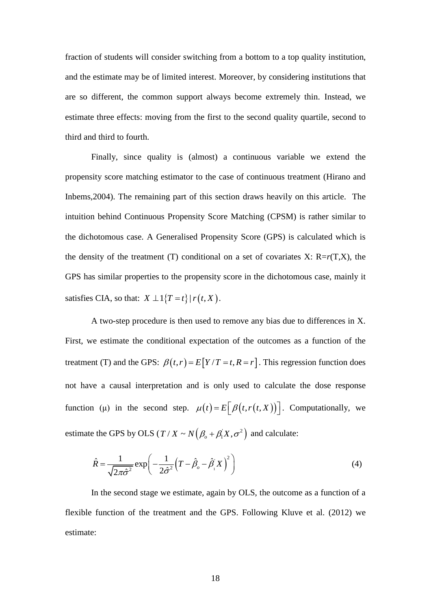fraction of students will consider switching from a bottom to a top quality institution, and the estimate may be of limited interest. Moreover, by considering institutions that are so different, the common support always become extremely thin. Instead, we estimate three effects: moving from the first to the second quality quartile, second to third and third to fourth.

Finally, since quality is (almost) a continuous variable we extend the propensity score matching estimator to the case of continuous treatment (Hirano and Inbems,2004). The remaining part of this section draws heavily on this article. The intuition behind Continuous Propensity Score Matching (CPSM) is rather similar to the dichotomous case. A Generalised Propensity Score (GPS) is calculated which is the density of the treatment (T) conditional on a set of covariates  $X: R=r(T,X)$ , the GPS has similar properties to the propensity score in the dichotomous case, mainly it satisfies CIA, so that:  $X \perp 1\{T = t\} | r(t, X)$ .

A two-step procedure is then used to remove any bias due to differences in X. First, we estimate the conditional expectation of the outcomes as a function of the treatment (T) and the GPS:  $\beta(t,r) = E[Y/T = t, R = r]$ . This regression function does not have a causal interpretation and is only used to calculate the dose response function (µ) in the second step.  $\mu(t) = E\left[\beta(t, r(t, X))\right]$ . Computationally, we estimate the GPS by OLS ( $T/X \sim N(\beta_o + \beta_1 X, \sigma^2)$  and calculate:

$$
\hat{R} = \frac{1}{\sqrt{2\pi\hat{\sigma}^2}} \exp\left(-\frac{1}{2\hat{\sigma}^2} \left(T - \hat{\beta}_o - \hat{\beta}_i'X\right)^2\right)
$$
(4)

In the second stage we estimate, again by OLS, the outcome as a function of a flexible function of the treatment and the GPS. Following Kluve et al. (2012) we estimate: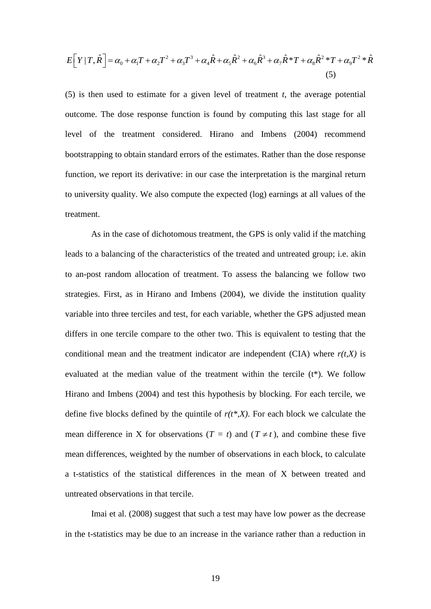$$
E[Y|T,\hat{R}] = \alpha_0 + \alpha_1 T + \alpha_2 T^2 + \alpha_3 T^3 + \alpha_4 \hat{R} + \alpha_5 \hat{R}^2 + \alpha_6 \hat{R}^3 + \alpha_7 \hat{R}^* T + \alpha_8 \hat{R}^2 * T + \alpha_9 T^2 * \hat{R}
$$
\n(5)

(5) is then used to estimate for a given level of treatment *t*, the average potential outcome. The dose response function is found by computing this last stage for all level of the treatment considered. Hirano and Imbens (2004) recommend bootstrapping to obtain standard errors of the estimates. Rather than the dose response function, we report its derivative: in our case the interpretation is the marginal return to university quality. We also compute the expected (log) earnings at all values of the treatment.

 $t^2 + \alpha_s t^2 + \alpha_s t^2 + \alpha_s t^2 + \alpha_s t^2 + \alpha_s t^2 + \alpha_s t^2 + \alpha_s t^2 + \alpha_s t^2 + \alpha_s t^2 + \alpha_s t^2 + \alpha_s t^2 + \alpha_s t^2 + \alpha_s t^2 + \alpha_s t^2 + \alpha_s t^2 + \alpha_s t^2 + \alpha_s t^2 + \alpha_s t^2 + \alpha_s t^2 + \alpha_s t^2 + \alpha_s t^2 + \alpha_s t^2 + \alpha_s t^2 + \alpha_s t^2 + \alpha_s t^2 + \alpha_s t^2 + \alpha_s t^2 + \alpha_s t^2 + \alpha_s t^2 + \alpha_s t^2 + \alpha_s t^2$ As in the case of dichotomous treatment, the GPS is only valid if the matching leads to a balancing of the characteristics of the treated and untreated group; i.e. akin to an-post random allocation of treatment. To assess the balancing we follow two strategies. First, as in Hirano and Imbens (2004), we divide the institution quality variable into three terciles and test, for each variable, whether the GPS adjusted mean differs in one tercile compare to the other two. This is equivalent to testing that the conditional mean and the treatment indicator are independent  $(CIA)$  where  $r(t,X)$  is evaluated at the median value of the treatment within the tercile (t\*). We follow Hirano and Imbens (2004) and test this hypothesis by blocking. For each tercile, we define five blocks defined by the quintile of  $r(t^*,X)$ . For each block we calculate the mean difference in X for observations ( $T = t$ ) and ( $T \neq t$ ), and combine these five mean differences, weighted by the number of observations in each block, to calculate a t-statistics of the statistical differences in the mean of X between treated and untreated observations in that tercile.

Imai et al. (2008) suggest that such a test may have low power as the decrease in the t-statistics may be due to an increase in the variance rather than a reduction in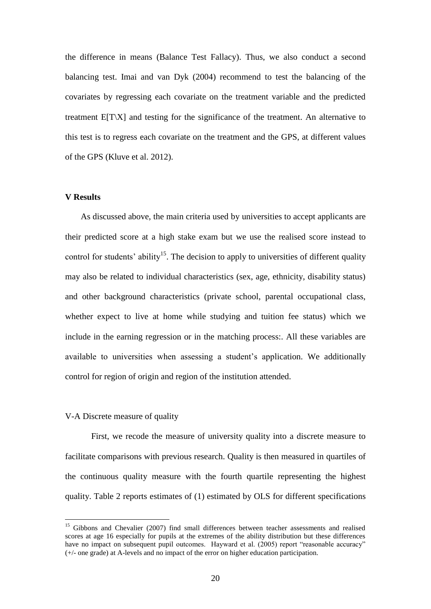the difference in means (Balance Test Fallacy). Thus, we also conduct a second balancing test. Imai and van Dyk (2004) recommend to test the balancing of the covariates by regressing each covariate on the treatment variable and the predicted treatment E[T\X] and testing for the significance of the treatment. An alternative to this test is to regress each covariate on the treatment and the GPS, at different values of the GPS (Kluve et al. 2012).

#### **V Results**

As discussed above, the main criteria used by universities to accept applicants are their predicted score at a high stake exam but we use the realised score instead to control for students' ability<sup>15</sup>. The decision to apply to universities of different quality may also be related to individual characteristics (sex, age, ethnicity, disability status) and other background characteristics (private school, parental occupational class, whether expect to live at home while studying and tuition fee status) which we include in the earning regression or in the matching process:. All these variables are available to universities when assessing a student's application. We additionally control for region of origin and region of the institution attended.

#### V-A Discrete measure of quality

1

First, we recode the measure of university quality into a discrete measure to facilitate comparisons with previous research. Quality is then measured in quartiles of the continuous quality measure with the fourth quartile representing the highest quality. Table 2 reports estimates of (1) estimated by OLS for different specifications

<sup>&</sup>lt;sup>15</sup> Gibbons and Chevalier (2007) find small differences between teacher assessments and realised scores at age 16 especially for pupils at the extremes of the ability distribution but these differences have no impact on subsequent pupil outcomes. Hayward et al. (2005) report "reasonable accuracy" (+/- one grade) at A-levels and no impact of the error on higher education participation.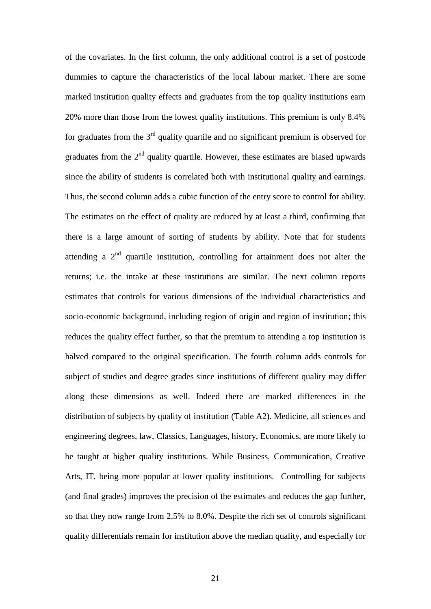of the covariates. In the first column, the only additional control is a set of postcode dummies to capture the characteristics of the local labour market. There are some marked institution quality effects and graduates from the top quality institutions earn 20% more than those from the lowest quality institutions. This premium is only 8.4% for graduates from the  $3<sup>rd</sup>$  quality quartile and no significant premium is observed for graduates from the  $2<sup>nd</sup>$  quality quartile. However, these estimates are biased upwards since the ability of students is correlated both with institutional quality and earnings. Thus, the second column adds a cubic function of the entry score to control for ability. The estimates on the effect of quality are reduced by at least a third, confirming that there is a large amount of sorting of students by ability. Note that for students attending a  $2<sup>nd</sup>$  quartile institution, controlling for attainment does not alter the returns; i.e. the intake at these institutions are similar. The next column reports estimates that controls for various dimensions of the individual characteristics and socio-economic background, including region of origin and region of institution; this reduces the quality effect further, so that the premium to attending a top institution is halved compared to the original specification. The fourth column adds controls for subject of studies and degree grades since institutions of different quality may differ along these dimensions as well. Indeed there are marked differences in the distribution of subjects by quality of institution (Table A2). Medicine, all sciences and engineering degrees, law, Classics, Languages, history, Economics, are more likely to be taught at higher quality institutions. While Business, Communication, Creative Arts, IT, being more popular at lower quality institutions. Controlling for subjects (and final grades) improves the precision of the estimates and reduces the gap further, so that they now range from 2.5% to 8.0%. Despite the rich set of controls significant quality differentials remain for institution above the median quality, and especially for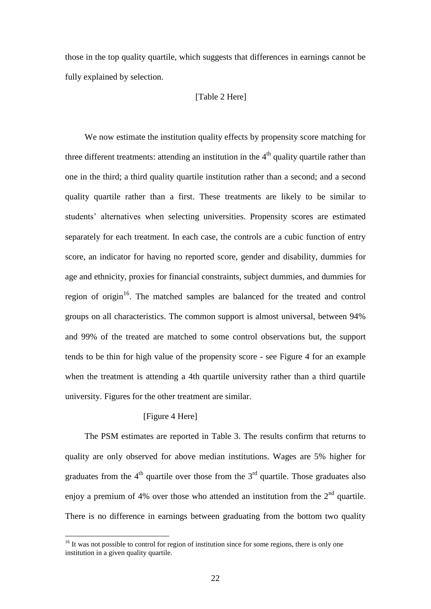those in the top quality quartile, which suggests that differences in earnings cannot be fully explained by selection.

#### [Table 2 Here]

We now estimate the institution quality effects by propensity score matching for three different treatments: attending an institution in the  $4<sup>th</sup>$  quality quartile rather than one in the third; a third quality quartile institution rather than a second; and a second quality quartile rather than a first. These treatments are likely to be similar to students' alternatives when selecting universities. Propensity scores are estimated separately for each treatment. In each case, the controls are a cubic function of entry score, an indicator for having no reported score, gender and disability, dummies for age and ethnicity, proxies for financial constraints, subject dummies, and dummies for region of origin $16$ . The matched samples are balanced for the treated and control groups on all characteristics. The common support is almost universal, between 94% and 99% of the treated are matched to some control observations but, the support tends to be thin for high value of the propensity score - see Figure 4 for an example when the treatment is attending a 4th quartile university rather than a third quartile university. Figures for the other treatment are similar.

#### [Figure 4 Here]

1

The PSM estimates are reported in Table 3. The results confirm that returns to quality are only observed for above median institutions. Wages are 5% higher for graduates from the  $4<sup>th</sup>$  quartile over those from the  $3<sup>rd</sup>$  quartile. Those graduates also enjoy a premium of 4% over those who attended an institution from the  $2<sup>nd</sup>$  quartile. There is no difference in earnings between graduating from the bottom two quality

 $16$  It was not possible to control for region of institution since for some regions, there is only one institution in a given quality quartile.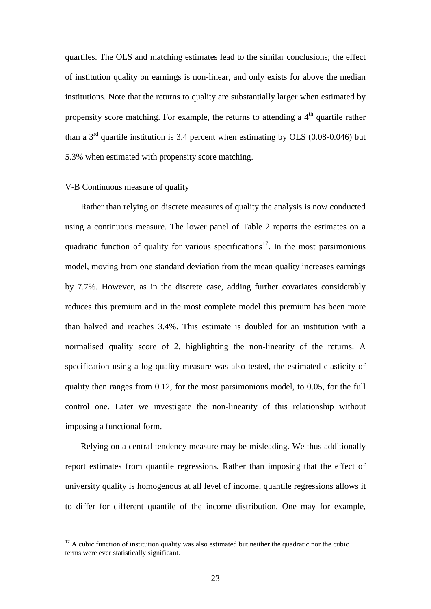quartiles. The OLS and matching estimates lead to the similar conclusions; the effect of institution quality on earnings is non-linear, and only exists for above the median institutions. Note that the returns to quality are substantially larger when estimated by propensity score matching. For example, the returns to attending a  $4<sup>th</sup>$  quartile rather than a  $3<sup>rd</sup>$  quartile institution is 3.4 percent when estimating by OLS (0.08-0.046) but 5.3% when estimated with propensity score matching.

#### V-B Continuous measure of quality

1

Rather than relying on discrete measures of quality the analysis is now conducted using a continuous measure. The lower panel of Table 2 reports the estimates on a quadratic function of quality for various specifications<sup>17</sup>. In the most parsimonious model, moving from one standard deviation from the mean quality increases earnings by 7.7%. However, as in the discrete case, adding further covariates considerably reduces this premium and in the most complete model this premium has been more than halved and reaches 3.4%. This estimate is doubled for an institution with a normalised quality score of 2, highlighting the non-linearity of the returns. A specification using a log quality measure was also tested, the estimated elasticity of quality then ranges from 0.12, for the most parsimonious model, to 0.05, for the full control one. Later we investigate the non-linearity of this relationship without imposing a functional form.

Relying on a central tendency measure may be misleading. We thus additionally report estimates from quantile regressions. Rather than imposing that the effect of university quality is homogenous at all level of income, quantile regressions allows it to differ for different quantile of the income distribution. One may for example,

 $17$  A cubic function of institution quality was also estimated but neither the quadratic nor the cubic terms were ever statistically significant.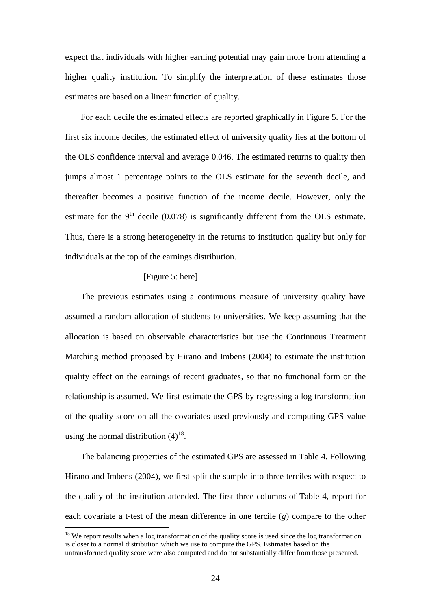expect that individuals with higher earning potential may gain more from attending a higher quality institution. To simplify the interpretation of these estimates those estimates are based on a linear function of quality.

For each decile the estimated effects are reported graphically in Figure 5. For the first six income deciles, the estimated effect of university quality lies at the bottom of the OLS confidence interval and average 0.046. The estimated returns to quality then jumps almost 1 percentage points to the OLS estimate for the seventh decile, and thereafter becomes a positive function of the income decile. However, only the estimate for the  $9<sup>th</sup>$  decile (0.078) is significantly different from the OLS estimate. Thus, there is a strong heterogeneity in the returns to institution quality but only for individuals at the top of the earnings distribution.

#### [Figure 5: here]

The previous estimates using a continuous measure of university quality have assumed a random allocation of students to universities. We keep assuming that the allocation is based on observable characteristics but use the Continuous Treatment Matching method proposed by Hirano and Imbens (2004) to estimate the institution quality effect on the earnings of recent graduates, so that no functional form on the relationship is assumed. We first estimate the GPS by regressing a log transformation of the quality score on all the covariates used previously and computing GPS value using the normal distribution  $(4)^{18}$ .

The balancing properties of the estimated GPS are assessed in Table 4. Following Hirano and Imbens (2004), we first split the sample into three terciles with respect to the quality of the institution attended. The first three columns of Table 4, report for each covariate a t-test of the mean difference in one tercile (*g*) compare to the other

<u>.</u>

<sup>&</sup>lt;sup>18</sup> We report results when a log transformation of the quality score is used since the log transformation is closer to a normal distribution which we use to compute the GPS. Estimates based on the untransformed quality score were also computed and do not substantially differ from those presented.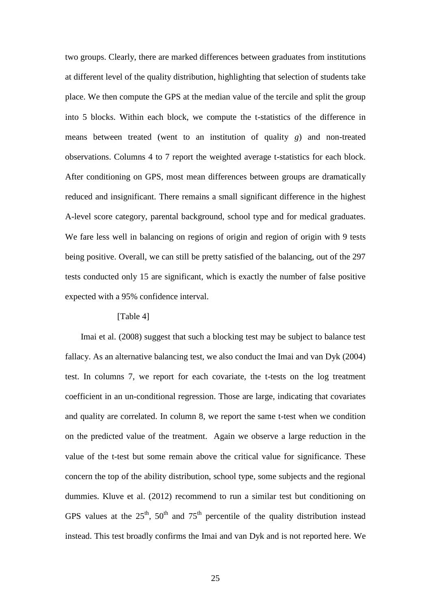two groups. Clearly, there are marked differences between graduates from institutions at different level of the quality distribution, highlighting that selection of students take place. We then compute the GPS at the median value of the tercile and split the group into 5 blocks. Within each block, we compute the t-statistics of the difference in means between treated (went to an institution of quality *g*) and non-treated observations. Columns 4 to 7 report the weighted average t-statistics for each block. After conditioning on GPS, most mean differences between groups are dramatically reduced and insignificant. There remains a small significant difference in the highest A-level score category, parental background, school type and for medical graduates. We fare less well in balancing on regions of origin and region of origin with 9 tests being positive. Overall, we can still be pretty satisfied of the balancing, out of the 297 tests conducted only 15 are significant, which is exactly the number of false positive expected with a 95% confidence interval.

#### [Table 4]

Imai et al. (2008) suggest that such a blocking test may be subject to balance test fallacy. As an alternative balancing test, we also conduct the Imai and van Dyk (2004) test. In columns 7, we report for each covariate, the t-tests on the log treatment coefficient in an un-conditional regression. Those are large, indicating that covariates and quality are correlated. In column 8, we report the same t-test when we condition on the predicted value of the treatment. Again we observe a large reduction in the value of the t-test but some remain above the critical value for significance. These concern the top of the ability distribution, school type, some subjects and the regional dummies. Kluve et al. (2012) recommend to run a similar test but conditioning on GPS values at the  $25<sup>th</sup>$ ,  $50<sup>th</sup>$  and  $75<sup>th</sup>$  percentile of the quality distribution instead instead. This test broadly confirms the Imai and van Dyk and is not reported here. We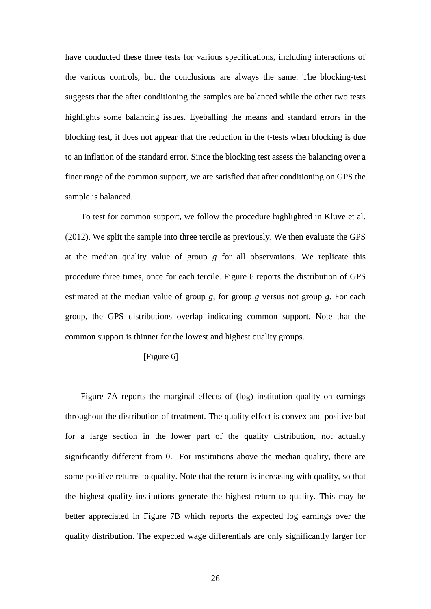have conducted these three tests for various specifications, including interactions of the various controls, but the conclusions are always the same. The blocking-test suggests that the after conditioning the samples are balanced while the other two tests highlights some balancing issues. Eyeballing the means and standard errors in the blocking test, it does not appear that the reduction in the t-tests when blocking is due to an inflation of the standard error. Since the blocking test assess the balancing over a finer range of the common support, we are satisfied that after conditioning on GPS the sample is balanced.

To test for common support, we follow the procedure highlighted in Kluve et al. (2012). We split the sample into three tercile as previously. We then evaluate the GPS at the median quality value of group *g* for all observations. We replicate this procedure three times, once for each tercile. Figure 6 reports the distribution of GPS estimated at the median value of group *g*, for group *g* versus not group *g*. For each group, the GPS distributions overlap indicating common support. Note that the common support is thinner for the lowest and highest quality groups.

#### [Figure 6]

Figure 7A reports the marginal effects of (log) institution quality on earnings throughout the distribution of treatment. The quality effect is convex and positive but for a large section in the lower part of the quality distribution, not actually significantly different from 0. For institutions above the median quality, there are some positive returns to quality. Note that the return is increasing with quality, so that the highest quality institutions generate the highest return to quality. This may be better appreciated in Figure 7B which reports the expected log earnings over the quality distribution. The expected wage differentials are only significantly larger for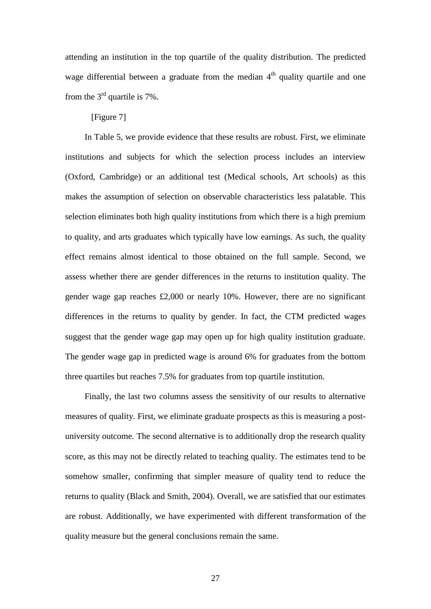attending an institution in the top quartile of the quality distribution. The predicted wage differential between a graduate from the median  $4<sup>th</sup>$  quality quartile and one from the  $3<sup>rd</sup>$  quartile is 7%.

[Figure 7]

In Table 5, we provide evidence that these results are robust. First, we eliminate institutions and subjects for which the selection process includes an interview (Oxford, Cambridge) or an additional test (Medical schools, Art schools) as this makes the assumption of selection on observable characteristics less palatable. This selection eliminates both high quality institutions from which there is a high premium to quality, and arts graduates which typically have low earnings. As such, the quality effect remains almost identical to those obtained on the full sample. Second, we assess whether there are gender differences in the returns to institution quality. The gender wage gap reaches £2,000 or nearly 10%. However, there are no significant differences in the returns to quality by gender. In fact, the CTM predicted wages suggest that the gender wage gap may open up for high quality institution graduate. The gender wage gap in predicted wage is around 6% for graduates from the bottom three quartiles but reaches 7.5% for graduates from top quartile institution.

Finally, the last two columns assess the sensitivity of our results to alternative measures of quality. First, we eliminate graduate prospects as this is measuring a postuniversity outcome. The second alternative is to additionally drop the research quality score, as this may not be directly related to teaching quality. The estimates tend to be somehow smaller, confirming that simpler measure of quality tend to reduce the returns to quality (Black and Smith, 2004). Overall, we are satisfied that our estimates are robust. Additionally, we have experimented with different transformation of the quality measure but the general conclusions remain the same.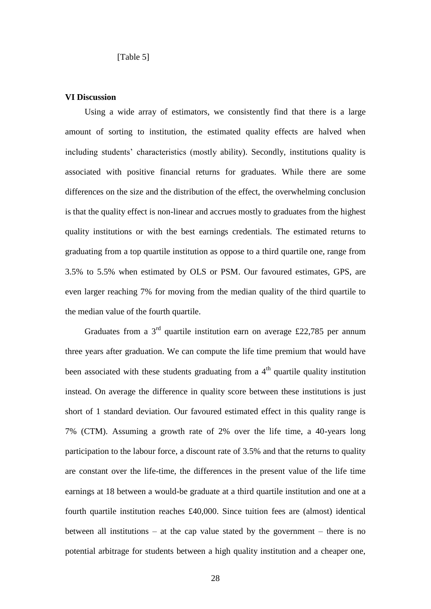[Table 5]

#### **VI Discussion**

Using a wide array of estimators, we consistently find that there is a large amount of sorting to institution, the estimated quality effects are halved when including students' characteristics (mostly ability). Secondly, institutions quality is associated with positive financial returns for graduates. While there are some differences on the size and the distribution of the effect, the overwhelming conclusion is that the quality effect is non-linear and accrues mostly to graduates from the highest quality institutions or with the best earnings credentials. The estimated returns to graduating from a top quartile institution as oppose to a third quartile one, range from 3.5% to 5.5% when estimated by OLS or PSM. Our favoured estimates, GPS, are even larger reaching 7% for moving from the median quality of the third quartile to the median value of the fourth quartile.

Graduates from a  $3<sup>rd</sup>$  quartile institution earn on average £22,785 per annum three years after graduation. We can compute the life time premium that would have been associated with these students graduating from a  $4<sup>th</sup>$  quartile quality institution instead. On average the difference in quality score between these institutions is just short of 1 standard deviation. Our favoured estimated effect in this quality range is 7% (CTM). Assuming a growth rate of 2% over the life time, a 40-years long participation to the labour force, a discount rate of 3.5% and that the returns to quality are constant over the life-time, the differences in the present value of the life time earnings at 18 between a would-be graduate at a third quartile institution and one at a fourth quartile institution reaches £40,000. Since tuition fees are (almost) identical between all institutions – at the cap value stated by the government – there is no potential arbitrage for students between a high quality institution and a cheaper one,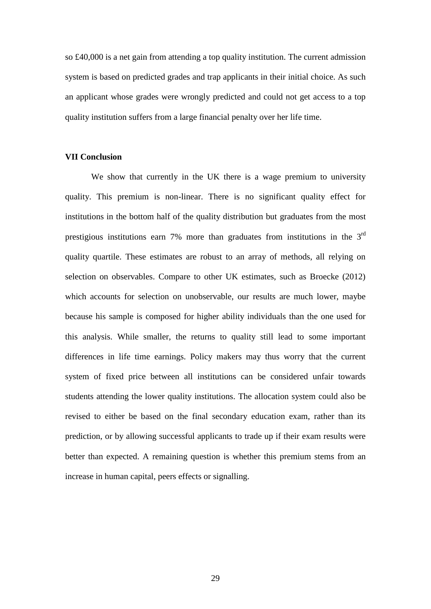so £40,000 is a net gain from attending a top quality institution. The current admission system is based on predicted grades and trap applicants in their initial choice. As such an applicant whose grades were wrongly predicted and could not get access to a top quality institution suffers from a large financial penalty over her life time.

#### **VII Conclusion**

We show that currently in the UK there is a wage premium to university quality. This premium is non-linear. There is no significant quality effect for institutions in the bottom half of the quality distribution but graduates from the most prestigious institutions earn 7% more than graduates from institutions in the  $3<sup>rd</sup>$ quality quartile. These estimates are robust to an array of methods, all relying on selection on observables. Compare to other UK estimates, such as Broecke (2012) which accounts for selection on unobservable, our results are much lower, maybe because his sample is composed for higher ability individuals than the one used for this analysis. While smaller, the returns to quality still lead to some important differences in life time earnings. Policy makers may thus worry that the current system of fixed price between all institutions can be considered unfair towards students attending the lower quality institutions. The allocation system could also be revised to either be based on the final secondary education exam, rather than its prediction, or by allowing successful applicants to trade up if their exam results were better than expected. A remaining question is whether this premium stems from an increase in human capital, peers effects or signalling.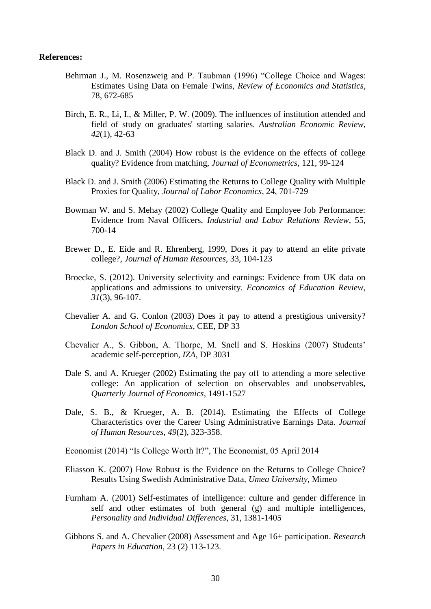#### **References:**

- Behrman J., M. Rosenzweig and P. Taubman (1996) "College Choice and Wages: Estimates Using Data on Female Twins, *Review of Economics and Statistics*, 78, 672-685
- Birch, E. R., Li, I., & Miller, P. W. (2009). The influences of institution attended and field of study on graduates' starting salaries. *Australian Economic Review*, *42*(1), 42-63
- Black D. and J. Smith (2004) How robust is the evidence on the effects of college quality? Evidence from matching, *Journal of Econometrics*, 121, 99-124
- Black D. and J. Smith (2006) Estimating the Returns to College Quality with Multiple Proxies for Quality, *Journal of Labor Economics*, 24, 701-729
- Bowman W. and S. Mehay (2002) College Quality and Employee Job Performance: Evidence from Naval Officers, *Industrial and Labor Relations Review*, 55, 700-14
- Brewer D., E. Eide and R. Ehrenberg, 1999, Does it pay to attend an elite private college?, *Journal of Human Resources*, 33, 104-123
- Broecke, S. (2012). University selectivity and earnings: Evidence from UK data on applications and admissions to university. *Economics of Education Review*, *31*(3), 96-107.
- Chevalier A. and G. Conlon (2003) Does it pay to attend a prestigious university? *London School of Economics*, CEE, DP 33
- Chevalier A., S. Gibbon, A. Thorpe, M. Snell and S. Hoskins (2007) Students' academic self-perception, *IZA*, DP 3031
- Dale S. and A. Krueger (2002) Estimating the pay off to attending a more selective college: An application of selection on observables and unobservables, *Quarterly Journal of Economics*, 1491-1527
- Dale, S. B., & Krueger, A. B. (2014). Estimating the Effects of College Characteristics over the Career Using Administrative Earnings Data. *Journal of Human Resources*, *49*(2), 323-358.
- Economist (2014) "Is College Worth It?", The Economist, 05 April 2014
- Eliasson K. (2007) How Robust is the Evidence on the Returns to College Choice? Results Using Swedish Administrative Data, *Umea University*, Mimeo
- Furnham A. (2001) Self-estimates of intelligence: culture and gender difference in self and other estimates of both general (g) and multiple intelligences, *Personality and Individual Differences*, 31, 1381-1405
- Gibbons S. and A. Chevalier (2008) Assessment and Age 16+ participation. *Research Papers in Education*, 23 (2) 113-123.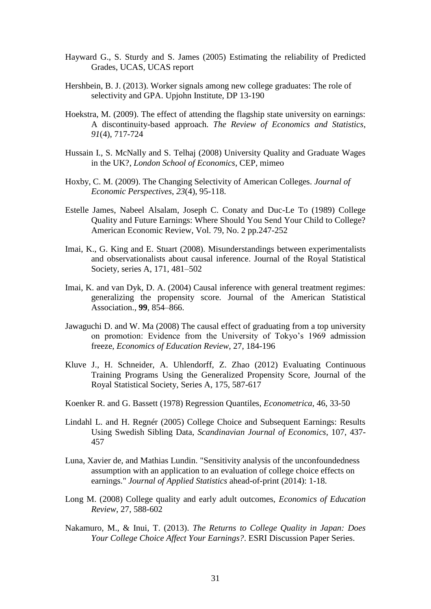- Hayward G., S. Sturdy and S. James (2005) Estimating the reliability of Predicted Grades, UCAS, UCAS report
- Hershbein, B. J. (2013). Worker signals among new college graduates: The role of selectivity and GPA. Upjohn Institute, DP 13-190
- Hoekstra, M. (2009). The effect of attending the flagship state university on earnings: A discontinuity-based approach. *The Review of Economics and Statistics*, *91*(4), 717-724
- Hussain I., S. McNally and S. Telhaj (2008) University Quality and Graduate Wages in the UK?, *London School of Economics*, CEP, mimeo
- Hoxby, C. M. (2009). The Changing Selectivity of American Colleges. *Journal of Economic Perspectives*, *23*(4), 95-118.
- Estelle James, Nabeel Alsalam, Joseph C. Conaty and Duc-Le To (1989) College Quality and Future Earnings: Where Should You Send Your Child to College? American Economic Review, Vol. 79, No. 2 pp.247-252
- Imai, K., G. King and E. Stuart (2008). Misunderstandings between experimentalists and observationalists about causal inference. Journal of the Royal Statistical Society, series A, 171, 481–502
- Imai, K. and van Dyk, D. A. (2004) Causal inference with general treatment regimes: generalizing the propensity score. Journal of the American Statistical Association., **99**, 854–866.
- Jawaguchi D. and W. Ma (2008) The causal effect of graduating from a top university on promotion: Evidence from the University of Tokyo's 1969 admission freeze, *Economics of Education Review*, 27, 184-196
- Kluve J., H. Schneider, A. Uhlendorff, Z. Zhao (2012) Evaluating Continuous Training Programs Using the Generalized Propensity Score, Journal of the Royal Statistical Society, Series A, 175, 587-617
- Koenker R. and G. Bassett (1978) Regression Quantiles, *Econometrica*, 46, 33-50
- Lindahl L. and H. Regnér (2005) College Choice and Subsequent Earnings: Results Using Swedish Sibling Data, *Scandinavian Journal of Economics*, 107, 437- 457
- Luna, Xavier de, and Mathias Lundin. "Sensitivity analysis of the unconfoundedness assumption with an application to an evaluation of college choice effects on earnings." *Journal of Applied Statistics* ahead-of-print (2014): 1-18.
- Long M. (2008) College quality and early adult outcomes, *Economics of Education Review*, 27, 588-602
- Nakamuro, M., & Inui, T. (2013). *The Returns to College Quality in Japan: Does Your College Choice Affect Your Earnings?*. ESRI Discussion Paper Series.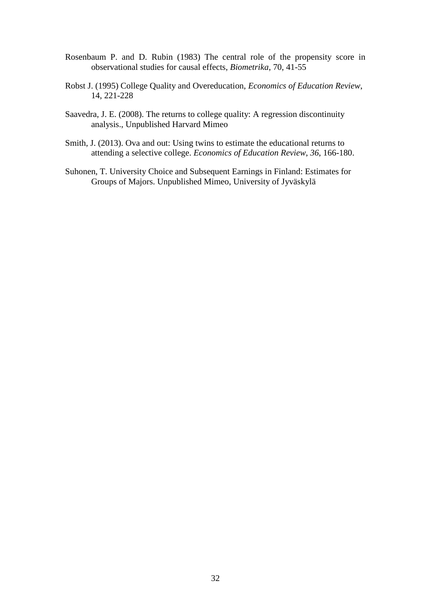- Rosenbaum P. and D. Rubin (1983) The central role of the propensity score in observational studies for causal effects, *Biometrika*, 70, 41-55
- Robst J. (1995) College Quality and Overeducation, *Economics of Education Review*, 14, 221-228
- Saavedra, J. E. (2008). The returns to college quality: A regression discontinuity analysis., Unpublished Harvard Mimeo
- Smith, J. (2013). Ova and out: Using twins to estimate the educational returns to attending a selective college. *Economics of Education Review*, *36*, 166-180.
- Suhonen, T. University Choice and Subsequent Earnings in Finland: Estimates for Groups of Majors. Unpublished Mimeo, University of Jyväskylä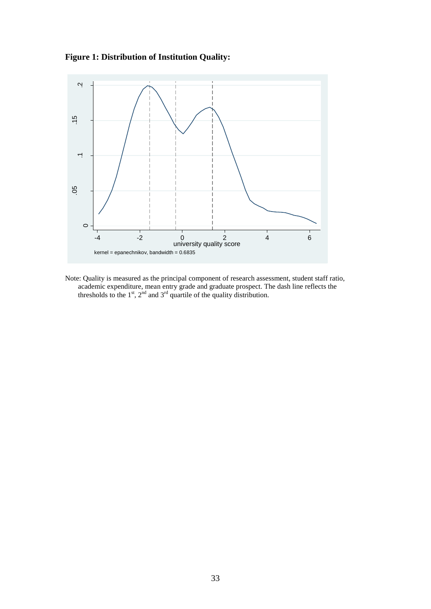



Note: Quality is measured as the principal component of research assessment, student staff ratio, academic expenditure, mean entry grade and graduate prospect. The dash line reflects the thresholds to the  $1<sup>st</sup>$ ,  $2<sup>nd</sup>$  and  $3<sup>rd</sup>$  quartile of the quality distribution.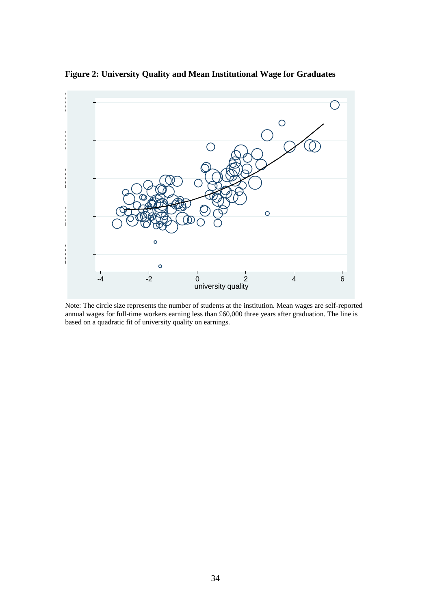

**Figure 2: University Quality and Mean Institutional Wage for Graduates**

Note: The circle size represents the number of students at the institution. Mean wages are self-reported annual wages for full-time workers earning less than £60,000 three years after graduation. The line is based on a quadratic fit of university quality on earnings.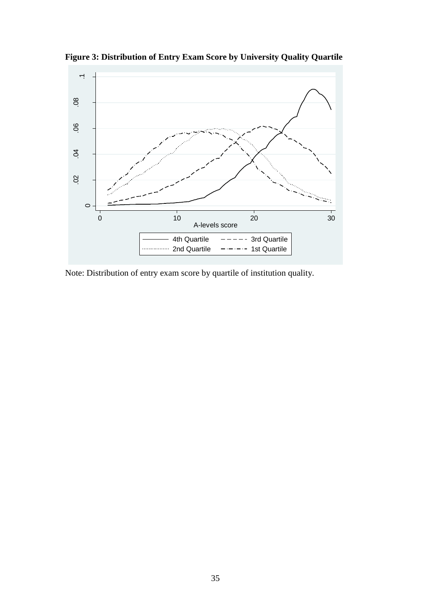

**Figure 3: Distribution of Entry Exam Score by University Quality Quartile**

Note: Distribution of entry exam score by quartile of institution quality.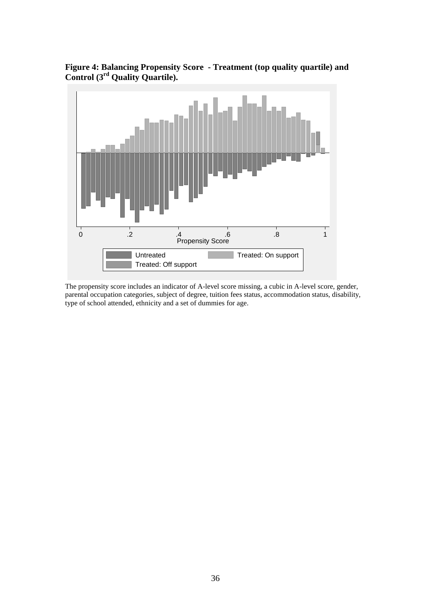

**Figure 4: Balancing Propensity Score - Treatment (top quality quartile) and Control (3 rd Quality Quartile).** 

The propensity score includes an indicator of A-level score missing, a cubic in A-level score, gender, parental occupation categories, subject of degree, tuition fees status, accommodation status, disability, type of school attended, ethnicity and a set of dummies for age.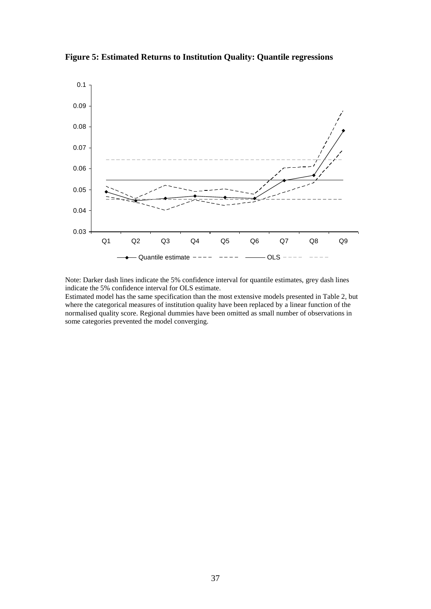**Figure 5: Estimated Returns to Institution Quality: Quantile regressions**



Note: Darker dash lines indicate the 5% confidence interval for quantile estimates, grey dash lines indicate the 5% confidence interval for OLS estimate.

Estimated model has the same specification than the most extensive models presented in Table 2, but where the categorical measures of institution quality have been replaced by a linear function of the normalised quality score. Regional dummies have been omitted as small number of observations in some categories prevented the model converging.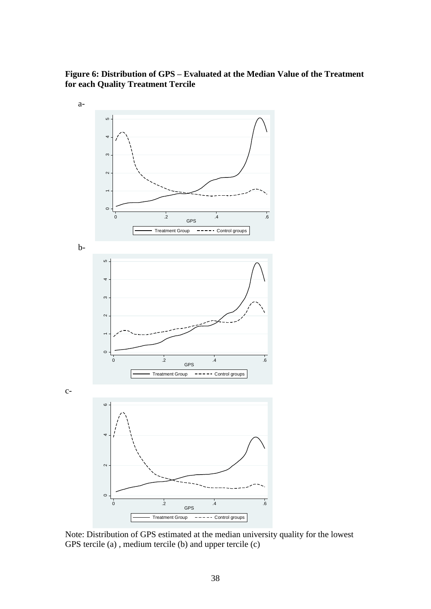### **Figure 6: Distribution of GPS – Evaluated at the Median Value of the Treatment for each Quality Treatment Tercile**



Note: Distribution of GPS estimated at the median university quality for the lowest GPS tercile (a), medium tercile (b) and upper tercile (c)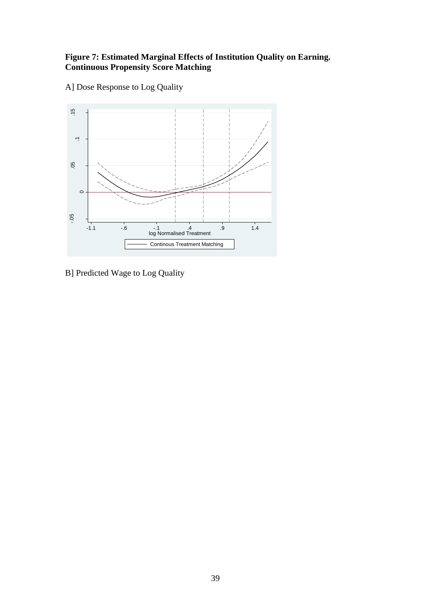#### **Figure 7: Estimated Marginal Effects of Institution Quality on Earning. Continuous Propensity Score Matching**





B] Predicted Wage to Log Quality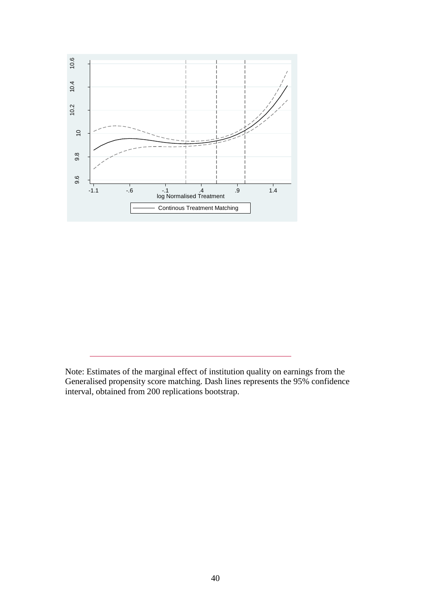

Note: Estimates of the marginal effect of institution quality on earnings from the Generalised propensity score matching. Dash lines represents the 95% confidence interval, obtained from 200 replications bootstrap.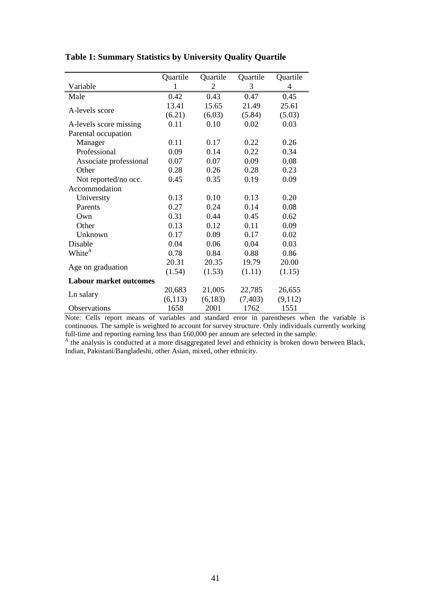|                               | Quartile | Quartile | Quartile | Quartile |
|-------------------------------|----------|----------|----------|----------|
| Variable                      | 1        | 2        | 3        | 4        |
| Male                          | 0.42     | 0.43     | 0.47     | 0.45     |
|                               | 13.41    | 15.65    | 21.49    | 25.61    |
| A-levels score                | (6.21)   | (6.03)   | (5.84)   | (5.03)   |
| A-levels score missing        | 0.11     | 0.10     | 0.02     | 0.03     |
| Parental occupation           |          |          |          |          |
| Manager                       | 0.11     | 0.17     | 0.22     | 0.26     |
| Professional                  | 0.09     | 0.14     | 0.22     | 0.34     |
| Associate professional        | 0.07     | 0.07     | 0.09     | 0.08     |
| Other                         | 0.28     | 0.26     | 0.28     | 0.23     |
| Not reported/no occ.          | 0.45     | 0.35     | 0.19     | 0.09     |
| Accommodation                 |          |          |          |          |
| University                    | 0.13     | 0.10     | 0.13     | 0.20     |
| Parents                       | 0.27     | 0.24     | 0.14     | 0.08     |
| Own                           | 0.31     | 0.44     | 0.45     | 0.62     |
| Other                         | 0.13     | 0.12     | 0.11     | 0.09     |
| Unknown                       | 0.17     | 0.09     | 0.17     | 0.02     |
| Disable                       | 0.04     | 0.06     | 0.04     | 0.03     |
| White <sup>A</sup>            | 0.78     | 0.84     | 0.88     | 0.86     |
| Age on graduation             | 20.31    | 20.35    | 19.79    | 20.00    |
|                               | (1.54)   | (1.53)   | (1.11)   | (1.15)   |
| <b>Labour market outcomes</b> |          |          |          |          |
| Ln salary                     | 20,683   | 21,005   | 22,785   | 26,655   |
|                               | (6,113)  | (6,183)  | (7, 403) | (9,112)  |
| <b>Observations</b>           | 1658     | 2001     | 1762     | 1551     |

#### **Table 1: Summary Statistics by University Quality Quartile**

Note: Cells report means of variables and standard error in parentheses when the variable is continuous. The sample is weighted to account for survey structure. Only individuals currently working full-time and reporting earning less than £60,000 per annum are selected in the sample.

<sup>A</sup> the analysis is conducted at a more disaggregated level and ethnicity is broken down between Black, Indian, Pakistani/Bangladeshi, other Asian, mixed, other ethnicity.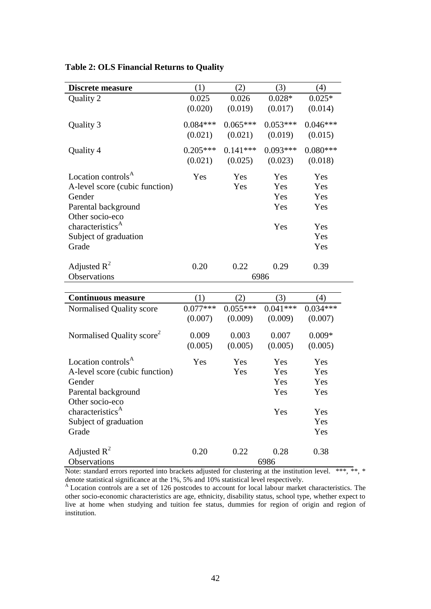| <b>Discrete measure</b>                                                                                                                                                                | (1)                   | (2)                   | (3)                             | (4)                                           |
|----------------------------------------------------------------------------------------------------------------------------------------------------------------------------------------|-----------------------|-----------------------|---------------------------------|-----------------------------------------------|
| Quality 2                                                                                                                                                                              | 0.025<br>(0.020)      | 0.026<br>(0.019)      | $0.028*$<br>(0.017)             | $0.025*$<br>(0.014)                           |
| Quality 3                                                                                                                                                                              | $0.084***$<br>(0.021) | $0.065***$<br>(0.021) | $0.053***$<br>(0.019)           | $0.046***$<br>(0.015)                         |
| Quality 4                                                                                                                                                                              | $0.205***$<br>(0.021) | $0.141***$<br>(0.025) | $0.093***$<br>(0.023)           | $0.080***$<br>(0.018)                         |
| Location controls <sup>A</sup><br>A-level score (cubic function)<br>Gender<br>Parental background<br>Other socio-eco<br>characteristics <sup>A</sup><br>Subject of graduation<br>Grade | Yes                   | Yes<br>Yes            | Yes<br>Yes<br>Yes<br>Yes<br>Yes | Yes<br>Yes<br>Yes<br>Yes<br>Yes<br>Yes<br>Yes |
| Adjusted $R^2$<br>Observations                                                                                                                                                         | 0.20                  | 0.22                  | 0.29<br>6986                    | 0.39                                          |
|                                                                                                                                                                                        |                       |                       |                                 |                                               |
| <b>Continuous measure</b>                                                                                                                                                              | (1)                   | (2)                   | (3)                             | (4)                                           |
| Normalised Quality score                                                                                                                                                               | $0.077***$<br>(0.007) | $0.055***$<br>(0.009) | $0.041***$<br>(0.009)           | $0.034***$<br>(0.007)                         |
| Normalised Quality score <sup>2</sup>                                                                                                                                                  | 0.009<br>(0.005)      | 0.003<br>(0.005)      | 0.007<br>(0.005)                | $0.009*$<br>(0.005)                           |
| Location controls <sup>A</sup><br>A-level score (cubic function)<br>Gender<br>Parental background<br>Other socio-eco<br>characteristics <sup>A</sup><br>Subject of graduation          | Yes                   | Yes<br>Yes            | Yes<br>Yes<br>Yes<br>Yes<br>Yes | Yes<br>Yes<br>Yes<br>Yes<br>Yes<br>Yes        |
| Grade<br>Adjusted $R^2$<br>Observations                                                                                                                                                | 0.20                  | 0.22                  | 0.28<br>6986                    | Yes<br>0.38                                   |

#### **Table 2: OLS Financial Returns to Quality**

Note: standard errors reported into brackets adjusted for clustering at the institution level. \*\*\*, \*\*, \* denote statistical significance at the 1%, 5% and 10% statistical level respectively.

<sup>A</sup> Location controls are a set of 126 postcodes to account for local labour market characteristics. The other socio-economic characteristics are age, ethnicity, disability status, school type, whether expect to live at home when studying and tuition fee status, dummies for region of origin and region of institution.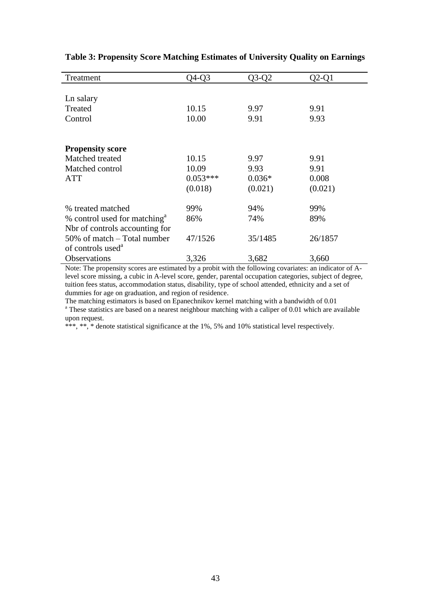| Treatment                                | Q4-Q3      | Q3-Q2    | $Q2-Q1$ |
|------------------------------------------|------------|----------|---------|
|                                          |            |          |         |
| Ln salary                                |            |          |         |
| Treated                                  | 10.15      | 9.97     | 9.91    |
| Control                                  | 10.00      | 9.91     | 9.93    |
|                                          |            |          |         |
|                                          |            |          |         |
| <b>Propensity score</b>                  |            |          |         |
| Matched treated                          | 10.15      | 9.97     | 9.91    |
| Matched control                          | 10.09      | 9.93     | 9.91    |
| <b>ATT</b>                               | $0.053***$ | $0.036*$ | 0.008   |
|                                          | (0.018)    | (0.021)  | (0.021) |
|                                          |            |          |         |
| % treated matched                        | 99%        | 94%      | 99%     |
| % control used for matching <sup>a</sup> | 86%        | 74%      | 89%     |
| Not of controls accounting for           |            |          |         |
| $50\%$ of match $-$ Total number         | 47/1526    | 35/1485  | 26/1857 |
| of controls used <sup>a</sup>            |            |          |         |
| Observations                             | 3,326      | 3,682    | 3,660   |

**Table 3: Propensity Score Matching Estimates of University Quality on Earnings**

Note: The propensity scores are estimated by a probit with the following covariates: an indicator of Alevel score missing, a cubic in A-level score, gender, parental occupation categories, subject of degree, tuition fees status, accommodation status, disability, type of school attended, ethnicity and a set of dummies for age on graduation, and region of residence.

The matching estimators is based on Epanechnikov kernel matching with a bandwidth of 0.01 <sup>a</sup> These statistics are based on a nearest neighbour matching with a caliper of 0.01 which are available upon request.

\*\*\*, \*\*, \* denote statistical significance at the 1%, 5% and 10% statistical level respectively.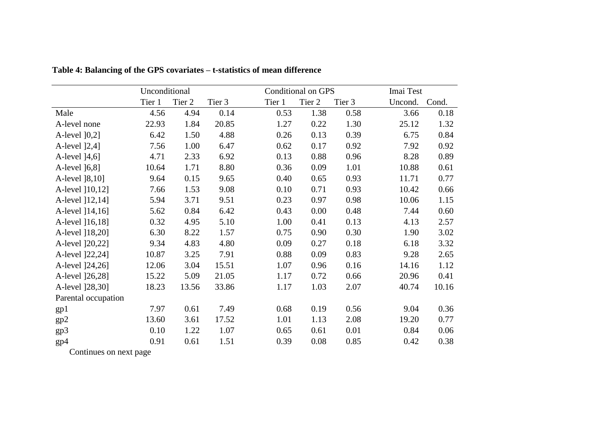|                     | Unconditional |        |        |        | <b>Conditional on GPS</b> |        | Imai Test |       |
|---------------------|---------------|--------|--------|--------|---------------------------|--------|-----------|-------|
|                     | Tier 1        | Tier 2 | Tier 3 | Tier 1 | Tier 2                    | Tier 3 | Uncond.   | Cond. |
| Male                | 4.56          | 4.94   | 0.14   | 0.53   | 1.38                      | 0.58   | 3.66      | 0.18  |
| A-level none        | 22.93         | 1.84   | 20.85  | 1.27   | 0.22                      | 1.30   | 25.12     | 1.32  |
| A-level [0,2]       | 6.42          | 1.50   | 4.88   | 0.26   | 0.13                      | 0.39   | 6.75      | 0.84  |
| A-level [2,4]       | 7.56          | 1.00   | 6.47   | 0.62   | 0.17                      | 0.92   | 7.92      | 0.92  |
| A-level [4,6]       | 4.71          | 2.33   | 6.92   | 0.13   | 0.88                      | 0.96   | 8.28      | 0.89  |
| A-level [6,8]       | 10.64         | 1.71   | 8.80   | 0.36   | 0.09                      | 1.01   | 10.88     | 0.61  |
| A-level [8,10]      | 9.64          | 0.15   | 9.65   | 0.40   | 0.65                      | 0.93   | 11.71     | 0.77  |
| A-level [10,12]     | 7.66          | 1.53   | 9.08   | 0.10   | 0.71                      | 0.93   | 10.42     | 0.66  |
| A-level [12,14]     | 5.94          | 3.71   | 9.51   | 0.23   | 0.97                      | 0.98   | 10.06     | 1.15  |
| A-level [14,16]     | 5.62          | 0.84   | 6.42   | 0.43   | 0.00                      | 0.48   | 7.44      | 0.60  |
| A-level [16,18]     | 0.32          | 4.95   | 5.10   | 1.00   | 0.41                      | 0.13   | 4.13      | 2.57  |
| A-level [18,20]     | 6.30          | 8.22   | 1.57   | 0.75   | 0.90                      | 0.30   | 1.90      | 3.02  |
| A-level [20,22]     | 9.34          | 4.83   | 4.80   | 0.09   | 0.27                      | 0.18   | 6.18      | 3.32  |
| A-level [22,24]     | 10.87         | 3.25   | 7.91   | 0.88   | 0.09                      | 0.83   | 9.28      | 2.65  |
| A-level [24,26]     | 12.06         | 3.04   | 15.51  | 1.07   | 0.96                      | 0.16   | 14.16     | 1.12  |
| A-level [26,28]     | 15.22         | 5.09   | 21.05  | 1.17   | 0.72                      | 0.66   | 20.96     | 0.41  |
| A-level [28,30]     | 18.23         | 13.56  | 33.86  | 1.17   | 1.03                      | 2.07   | 40.74     | 10.16 |
| Parental occupation |               |        |        |        |                           |        |           |       |
| gp1                 | 7.97          | 0.61   | 7.49   | 0.68   | 0.19                      | 0.56   | 9.04      | 0.36  |
| gp2                 | 13.60         | 3.61   | 17.52  | 1.01   | 1.13                      | 2.08   | 19.20     | 0.77  |
| gp3                 | 0.10          | 1.22   | 1.07   | 0.65   | 0.61                      | 0.01   | 0.84      | 0.06  |
| gp4                 | 0.91          | 0.61   | 1.51   | 0.39   | 0.08                      | 0.85   | 0.42      | 0.38  |

**Table 4: Balancing of the GPS covariates – t-statistics of mean difference**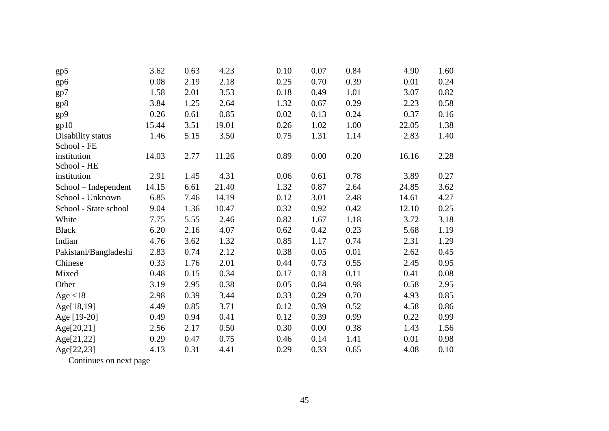| gp5                   | 3.62  | 0.63 | 4.23  | 0.10 | 0.07 | 0.84 | 4.90  | 1.60 |
|-----------------------|-------|------|-------|------|------|------|-------|------|
| gp6                   | 0.08  | 2.19 | 2.18  | 0.25 | 0.70 | 0.39 | 0.01  | 0.24 |
| gp7                   | 1.58  | 2.01 | 3.53  | 0.18 | 0.49 | 1.01 | 3.07  | 0.82 |
| gp8                   | 3.84  | 1.25 | 2.64  | 1.32 | 0.67 | 0.29 | 2.23  | 0.58 |
| gp9                   | 0.26  | 0.61 | 0.85  | 0.02 | 0.13 | 0.24 | 0.37  | 0.16 |
| gp10                  | 15.44 | 3.51 | 19.01 | 0.26 | 1.02 | 1.00 | 22.05 | 1.38 |
| Disability status     | 1.46  | 5.15 | 3.50  | 0.75 | 1.31 | 1.14 | 2.83  | 1.40 |
| School - FE           |       |      |       |      |      |      |       |      |
| institution           | 14.03 | 2.77 | 11.26 | 0.89 | 0.00 | 0.20 | 16.16 | 2.28 |
| School - HE           |       |      |       |      |      |      |       |      |
| institution           | 2.91  | 1.45 | 4.31  | 0.06 | 0.61 | 0.78 | 3.89  | 0.27 |
| School – Independent  | 14.15 | 6.61 | 21.40 | 1.32 | 0.87 | 2.64 | 24.85 | 3.62 |
| School - Unknown      | 6.85  | 7.46 | 14.19 | 0.12 | 3.01 | 2.48 | 14.61 | 4.27 |
| School - State school | 9.04  | 1.36 | 10.47 | 0.32 | 0.92 | 0.42 | 12.10 | 0.25 |
| White                 | 7.75  | 5.55 | 2.46  | 0.82 | 1.67 | 1.18 | 3.72  | 3.18 |
| <b>Black</b>          | 6.20  | 2.16 | 4.07  | 0.62 | 0.42 | 0.23 | 5.68  | 1.19 |
| Indian                | 4.76  | 3.62 | 1.32  | 0.85 | 1.17 | 0.74 | 2.31  | 1.29 |
| Pakistani/Bangladeshi | 2.83  | 0.74 | 2.12  | 0.38 | 0.05 | 0.01 | 2.62  | 0.45 |
| Chinese               | 0.33  | 1.76 | 2.01  | 0.44 | 0.73 | 0.55 | 2.45  | 0.95 |
| Mixed                 | 0.48  | 0.15 | 0.34  | 0.17 | 0.18 | 0.11 | 0.41  | 0.08 |
| Other                 | 3.19  | 2.95 | 0.38  | 0.05 | 0.84 | 0.98 | 0.58  | 2.95 |
| Age $<$ 18            | 2.98  | 0.39 | 3.44  | 0.33 | 0.29 | 0.70 | 4.93  | 0.85 |
| Age[18,19]            | 4.49  | 0.85 | 3.71  | 0.12 | 0.39 | 0.52 | 4.58  | 0.86 |
| Age [19-20]           | 0.49  | 0.94 | 0.41  | 0.12 | 0.39 | 0.99 | 0.22  | 0.99 |
| Age[20,21]            | 2.56  | 2.17 | 0.50  | 0.30 | 0.00 | 0.38 | 1.43  | 1.56 |
| Age[21,22]            | 0.29  | 0.47 | 0.75  | 0.46 | 0.14 | 1.41 | 0.01  | 0.98 |
| Age[22,23]            | 4.13  | 0.31 | 4.41  | 0.29 | 0.33 | 0.65 | 4.08  | 0.10 |
|                       |       |      |       |      |      |      |       |      |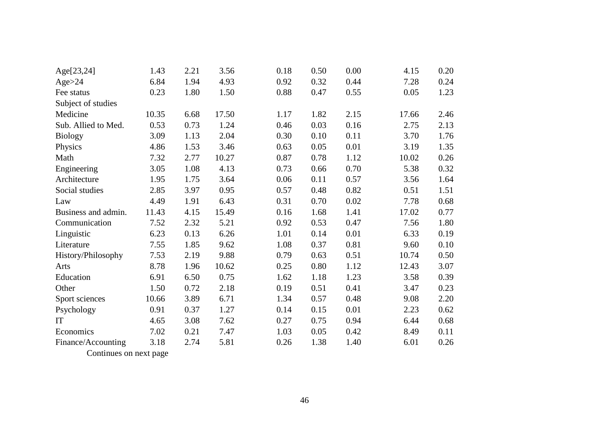| Age[23,24]          | 1.43  | 2.21 | 3.56  | 0.18 | 0.50 | 0.00 | 4.15  | 0.20 |
|---------------------|-------|------|-------|------|------|------|-------|------|
| Age > 24            | 6.84  | 1.94 | 4.93  | 0.92 | 0.32 | 0.44 | 7.28  | 0.24 |
| Fee status          | 0.23  | 1.80 | 1.50  | 0.88 | 0.47 | 0.55 | 0.05  | 1.23 |
| Subject of studies  |       |      |       |      |      |      |       |      |
| Medicine            | 10.35 | 6.68 | 17.50 | 1.17 | 1.82 | 2.15 | 17.66 | 2.46 |
| Sub. Allied to Med. | 0.53  | 0.73 | 1.24  | 0.46 | 0.03 | 0.16 | 2.75  | 2.13 |
| <b>Biology</b>      | 3.09  | 1.13 | 2.04  | 0.30 | 0.10 | 0.11 | 3.70  | 1.76 |
| Physics             | 4.86  | 1.53 | 3.46  | 0.63 | 0.05 | 0.01 | 3.19  | 1.35 |
| Math                | 7.32  | 2.77 | 10.27 | 0.87 | 0.78 | 1.12 | 10.02 | 0.26 |
| Engineering         | 3.05  | 1.08 | 4.13  | 0.73 | 0.66 | 0.70 | 5.38  | 0.32 |
| Architecture        | 1.95  | 1.75 | 3.64  | 0.06 | 0.11 | 0.57 | 3.56  | 1.64 |
| Social studies      | 2.85  | 3.97 | 0.95  | 0.57 | 0.48 | 0.82 | 0.51  | 1.51 |
| Law                 | 4.49  | 1.91 | 6.43  | 0.31 | 0.70 | 0.02 | 7.78  | 0.68 |
| Business and admin. | 11.43 | 4.15 | 15.49 | 0.16 | 1.68 | 1.41 | 17.02 | 0.77 |
| Communication       | 7.52  | 2.32 | 5.21  | 0.92 | 0.53 | 0.47 | 7.56  | 1.80 |
| Linguistic          | 6.23  | 0.13 | 6.26  | 1.01 | 0.14 | 0.01 | 6.33  | 0.19 |
| Literature          | 7.55  | 1.85 | 9.62  | 1.08 | 0.37 | 0.81 | 9.60  | 0.10 |
| History/Philosophy  | 7.53  | 2.19 | 9.88  | 0.79 | 0.63 | 0.51 | 10.74 | 0.50 |
| Arts                | 8.78  | 1.96 | 10.62 | 0.25 | 0.80 | 1.12 | 12.43 | 3.07 |
| Education           | 6.91  | 6.50 | 0.75  | 1.62 | 1.18 | 1.23 | 3.58  | 0.39 |
| Other               | 1.50  | 0.72 | 2.18  | 0.19 | 0.51 | 0.41 | 3.47  | 0.23 |
| Sport sciences      | 10.66 | 3.89 | 6.71  | 1.34 | 0.57 | 0.48 | 9.08  | 2.20 |
| Psychology          | 0.91  | 0.37 | 1.27  | 0.14 | 0.15 | 0.01 | 2.23  | 0.62 |
| IT                  | 4.65  | 3.08 | 7.62  | 0.27 | 0.75 | 0.94 | 6.44  | 0.68 |
| Economics           | 7.02  | 0.21 | 7.47  | 1.03 | 0.05 | 0.42 | 8.49  | 0.11 |
| Finance/Accounting  | 3.18  | 2.74 | 5.81  | 0.26 | 1.38 | 1.40 | 6.01  | 0.26 |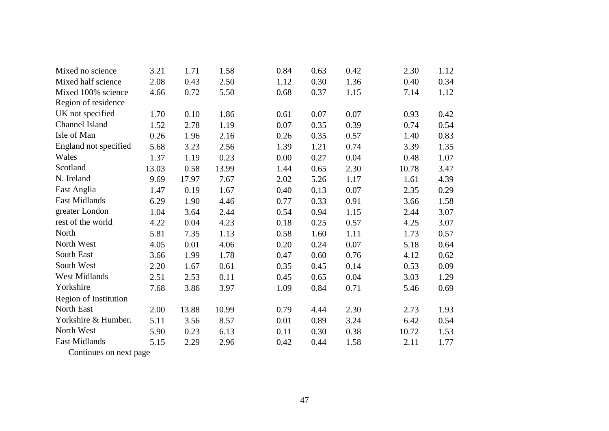| Mixed no science             | 3.21  | 1.71  | 1.58  | 0.84 | 0.63 | 0.42 | 2.30  | 1.12 |
|------------------------------|-------|-------|-------|------|------|------|-------|------|
| Mixed half science           | 2.08  | 0.43  | 2.50  | 1.12 | 0.30 | 1.36 | 0.40  | 0.34 |
| Mixed 100% science           | 4.66  | 0.72  | 5.50  | 0.68 | 0.37 | 1.15 | 7.14  | 1.12 |
| Region of residence          |       |       |       |      |      |      |       |      |
| UK not specified             | 1.70  | 0.10  | 1.86  | 0.61 | 0.07 | 0.07 | 0.93  | 0.42 |
| Channel Island               | 1.52  | 2.78  | 1.19  | 0.07 | 0.35 | 0.39 | 0.74  | 0.54 |
| Isle of Man                  | 0.26  | 1.96  | 2.16  | 0.26 | 0.35 | 0.57 | 1.40  | 0.83 |
| England not specified        | 5.68  | 3.23  | 2.56  | 1.39 | 1.21 | 0.74 | 3.39  | 1.35 |
| Wales                        | 1.37  | 1.19  | 0.23  | 0.00 | 0.27 | 0.04 | 0.48  | 1.07 |
| Scotland                     | 13.03 | 0.58  | 13.99 | 1.44 | 0.65 | 2.30 | 10.78 | 3.47 |
| N. Ireland                   | 9.69  | 17.97 | 7.67  | 2.02 | 5.26 | 1.17 | 1.61  | 4.39 |
| East Anglia                  | 1.47  | 0.19  | 1.67  | 0.40 | 0.13 | 0.07 | 2.35  | 0.29 |
| <b>East Midlands</b>         | 6.29  | 1.90  | 4.46  | 0.77 | 0.33 | 0.91 | 3.66  | 1.58 |
| greater London               | 1.04  | 3.64  | 2.44  | 0.54 | 0.94 | 1.15 | 2.44  | 3.07 |
| rest of the world            | 4.22  | 0.04  | 4.23  | 0.18 | 0.25 | 0.57 | 4.25  | 3.07 |
| North                        | 5.81  | 7.35  | 1.13  | 0.58 | 1.60 | 1.11 | 1.73  | 0.57 |
| North West                   | 4.05  | 0.01  | 4.06  | 0.20 | 0.24 | 0.07 | 5.18  | 0.64 |
| <b>South East</b>            | 3.66  | 1.99  | 1.78  | 0.47 | 0.60 | 0.76 | 4.12  | 0.62 |
| South West                   | 2.20  | 1.67  | 0.61  | 0.35 | 0.45 | 0.14 | 0.53  | 0.09 |
| <b>West Midlands</b>         | 2.51  | 2.53  | 0.11  | 0.45 | 0.65 | 0.04 | 3.03  | 1.29 |
| Yorkshire                    | 7.68  | 3.86  | 3.97  | 1.09 | 0.84 | 0.71 | 5.46  | 0.69 |
| <b>Region of Institution</b> |       |       |       |      |      |      |       |      |
| North East                   | 2.00  | 13.88 | 10.99 | 0.79 | 4.44 | 2.30 | 2.73  | 1.93 |
| Yorkshire & Humber.          | 5.11  | 3.56  | 8.57  | 0.01 | 0.89 | 3.24 | 6.42  | 0.54 |
| North West                   | 5.90  | 0.23  | 6.13  | 0.11 | 0.30 | 0.38 | 10.72 | 1.53 |
| <b>East Midlands</b>         | 5.15  | 2.29  | 2.96  | 0.42 | 0.44 | 1.58 | 2.11  | 1.77 |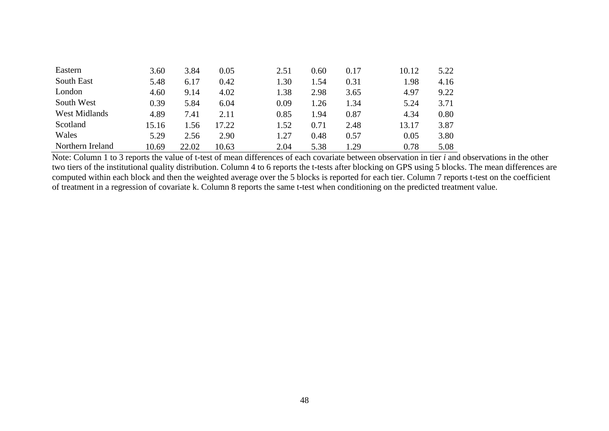| Eastern              | 3.60  | 3.84  | 0.05  | 2.51 | 0.60 | 0.17 | 10.12 | 5.22 |
|----------------------|-------|-------|-------|------|------|------|-------|------|
| South East           | 5.48  | 6.17  | 0.42  | 1.30 | 1.54 | 0.31 | 1.98  | 4.16 |
| London               | 4.60  | 9.14  | 4.02  | 1.38 | 2.98 | 3.65 | 4.97  | 9.22 |
| South West           | 0.39  | 5.84  | 6.04  | 0.09 | 1.26 | 1.34 | 5.24  | 3.71 |
| <b>West Midlands</b> | 4.89  | 7.41  | 2.11  | 0.85 | 1.94 | 0.87 | 4.34  | 0.80 |
| Scotland             | 15.16 | .56   | 17.22 | 1.52 | 0.71 | 2.48 | 13.17 | 3.87 |
| Wales                | 5.29  | 2.56  | 2.90  | 1.27 | 0.48 | 0.57 | 0.05  | 3.80 |
| Northern Ireland     | 10.69 | 22.02 | 10.63 | 2.04 | 5.38 | 1.29 | 0.78  | 5.08 |

Note: Column 1 to 3 reports the value of t-test of mean differences of each covariate between observation in tier *i* and observations in the other two tiers of the institutional quality distribution. Column 4 to 6 reports the t-tests after blocking on GPS using 5 blocks. The mean differences are computed within each block and then the weighted average over the 5 blocks is reported for each tier. Column 7 reports t-test on the coefficient of treatment in a regression of covariate k. Column 8 reports the same t-test when conditioning on the predicted treatment value.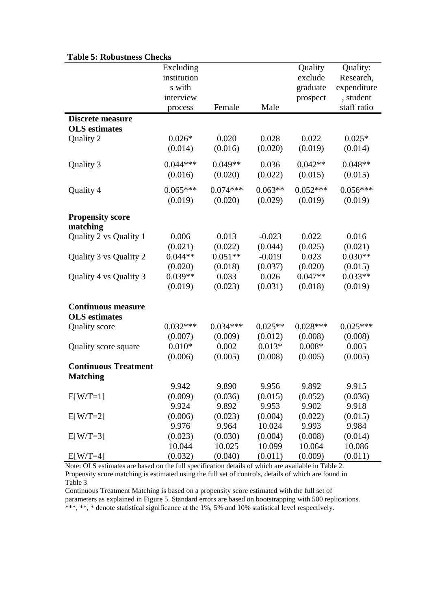| таріс э. коразикіз спескі           | Excluding<br>institution<br>s with<br>interview<br>process | Female                | Male                 | Quality<br>exclude<br>graduate<br>prospect | Quality:<br>Research,<br>expenditure<br>, student<br>staff ratio |
|-------------------------------------|------------------------------------------------------------|-----------------------|----------------------|--------------------------------------------|------------------------------------------------------------------|
| <b>Discrete measure</b>             |                                                            |                       |                      |                                            |                                                                  |
| <b>OLS</b> estimates                |                                                            |                       |                      |                                            |                                                                  |
| Quality 2                           | $0.026*$<br>(0.014)                                        | 0.020<br>(0.016)      | 0.028<br>(0.020)     | 0.022<br>(0.019)                           | $0.025*$<br>(0.014)                                              |
| Quality 3                           | $0.044***$<br>(0.016)                                      | $0.049**$<br>(0.020)  | 0.036<br>(0.022)     | $0.042**$<br>(0.015)                       | $0.048**$<br>(0.015)                                             |
| Quality 4                           | $0.065***$<br>(0.019)                                      | $0.074***$<br>(0.020) | $0.063**$<br>(0.029) | $0.052***$<br>(0.019)                      | $0.056***$<br>(0.019)                                            |
| <b>Propensity score</b><br>matching |                                                            |                       |                      |                                            |                                                                  |
| Quality 2 vs Quality 1              | 0.006<br>(0.021)                                           | 0.013<br>(0.022)      | $-0.023$<br>(0.044)  | 0.022<br>(0.025)                           | 0.016<br>(0.021)                                                 |
| Quality 3 vs Quality 2              | $0.044**$<br>(0.020)                                       | $0.051**$<br>(0.018)  | $-0.019$<br>(0.037)  | 0.023<br>(0.020)                           | $0.030**$<br>(0.015)                                             |
| Quality 4 vs Quality 3              | $0.039**$<br>(0.019)                                       | 0.033<br>(0.023)      | 0.026<br>(0.031)     | $0.047**$<br>(0.018)                       | $0.033**$<br>(0.019)                                             |
| <b>Continuous measure</b>           |                                                            |                       |                      |                                            |                                                                  |
| <b>OLS</b> estimates                | $0.032***$                                                 | $0.034***$            | $0.025**$            | $0.028***$                                 | $0.025***$                                                       |
| <b>Quality</b> score                | (0.007)                                                    | (0.009)               | (0.012)              | (0.008)                                    | (0.008)                                                          |
| Quality score square                | $0.010*$                                                   | 0.002                 | $0.013*$             | $0.008*$                                   | 0.005                                                            |
|                                     | (0.006)                                                    | (0.005)               | (0.008)              | (0.005)                                    | (0.005)                                                          |
| <b>Continuous Treatment</b>         |                                                            |                       |                      |                                            |                                                                  |
| <b>Matching</b>                     |                                                            |                       |                      |                                            |                                                                  |
|                                     | 9.942                                                      | 9.890                 | 9.956                | 9.892                                      | 9.915                                                            |
| $E[W/T=1]$                          | (0.009)                                                    | (0.036)               | (0.015)              | (0.052)                                    | (0.036)                                                          |
|                                     | 9.924                                                      | 9.892                 | 9.953                | 9.902                                      | 9.918                                                            |
| $E[W/T=2]$                          | (0.006)                                                    | (0.023)               | (0.004)              | (0.022)                                    | (0.015)                                                          |
|                                     | 9.976                                                      | 9.964                 | 10.024               | 9.993                                      | 9.984                                                            |
| $E[W/T=3]$                          | (0.023)                                                    | (0.030)               | (0.004)              | (0.008)                                    | (0.014)                                                          |
|                                     | 10.044                                                     | 10.025                | 10.099               | 10.064                                     | 10.086                                                           |
| $E[W/T=4]$                          | (0.032)                                                    | (0.040)               | (0.011)              | (0.009)                                    | (0.011)                                                          |

#### **Table 5: Robustness Checks**

Note: OLS estimates are based on the full specification details of which are available in Table 2. Propensity score matching is estimated using the full set of controls, details of which are found in Table 3

Continuous Treatment Matching is based on a propensity score estimated with the full set of parameters as explained in Figure 5. Standard errors are based on bootstrapping with 500 replications. \*\*\*, \*\*, \* denote statistical significance at the 1%, 5% and 10% statistical level respectively.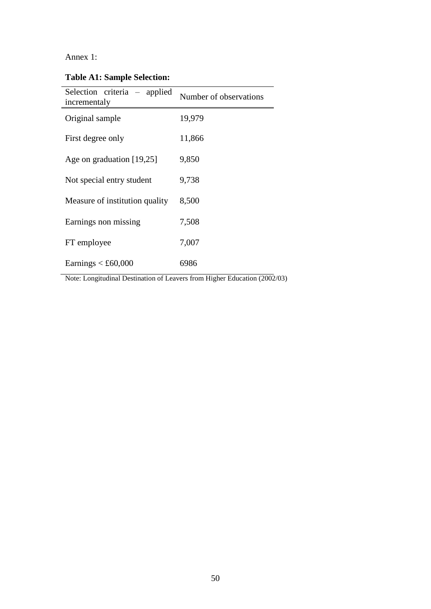## Annex 1:

**Table A1: Sample Selection:**

| Selection criteria – applied<br>incrementaly | Number of observations |
|----------------------------------------------|------------------------|
| Original sample                              | 19,979                 |
| First degree only                            | 11,866                 |
| Age on graduation $[19,25]$                  | 9,850                  |
| Not special entry student                    | 9,738                  |
| Measure of institution quality               | 8,500                  |
| Earnings non missing                         | 7,508                  |
| FT employee                                  | 7,007                  |
| Earnings $<$ £60,000                         | 6986                   |

Note: Longitudinal Destination of Leavers from Higher Education (2002/03)